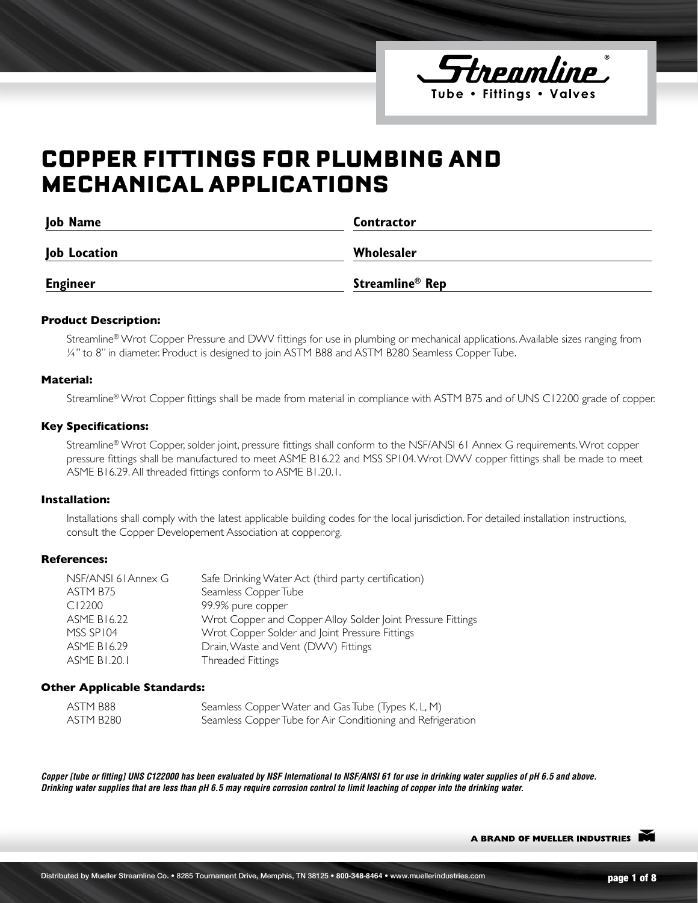

## COPPER FITTINGS FOR PLUMBING AND MECHANICAL APPLICATIONS

| <b>Job Name</b> | Contractor                  |
|-----------------|-----------------------------|
| Job Location    | Wholesaler                  |
| Engineer        | Streamline <sup>®</sup> Rep |

#### **Product Description:**

Streamline® Wrot Copper Pressure and DWV fittings for use in plumbing or mechanical applications. Available sizes ranging from ¼" to 8" in diameter. Product is designed to join ASTM B88 and ASTM B280 Seamless Copper Tube.

#### **Material:**

Streamline® Wrot Copper fittings shall be made from material in compliance with ASTM B75 and of UNS C12200 grade of copper.

#### **Key Specifications:**

Streamline® Wrot Copper, solder joint, pressure fittings shall conform to the NSF/ANSI 61 Annex G requirements. Wrot copper pressure fittings shall be manufactured to meet ASME B16.22 and MSS SP104. Wrot DWV copper fittings shall be made to meet ASME B16.29. All threaded fittings conform to ASME B1.20.1.

#### **Installation:**

Installations shall comply with the latest applicable building codes for the local jurisdiction. For detailed installation instructions, consult the Copper Developement Association at copper.org.

#### **References:**

| NSF/ANSI 61 Annex G | Safe Drinking Water Act (third party certification)         |
|---------------------|-------------------------------------------------------------|
| ASTM B75            | Seamless Copper Tube                                        |
| C12200              | 99.9% pure copper                                           |
| <b>ASME B16.22</b>  | Wrot Copper and Copper Alloy Solder Joint Pressure Fittings |
| MSS SP104           | Wrot Copper Solder and Joint Pressure Fittings              |
| <b>ASME B16.29</b>  | Drain, Waste and Vent (DWV) Fittings                        |
| ASME B1.20.1        | Threaded Fittings                                           |
|                     |                                                             |

#### **Other Applicable Standards:**

| ASTM B88  | Seamless Copper Water and Gas Tube (Types K, L, M)          |
|-----------|-------------------------------------------------------------|
| ASTM B280 | Seamless Copper Tube for Air Conditioning and Refrigeration |

*Copper [tube or fitting] UNS C122000 has been evaluated by NSF International to NSF/ANSI 61 for use in drinking water supplies of pH 6.5 and above. Drinking water supplies that are less than pH 6.5 may require corrosion control to limit leaching of copper into the drinking water.*

A BRAND OF MUELLER INDUSTRIES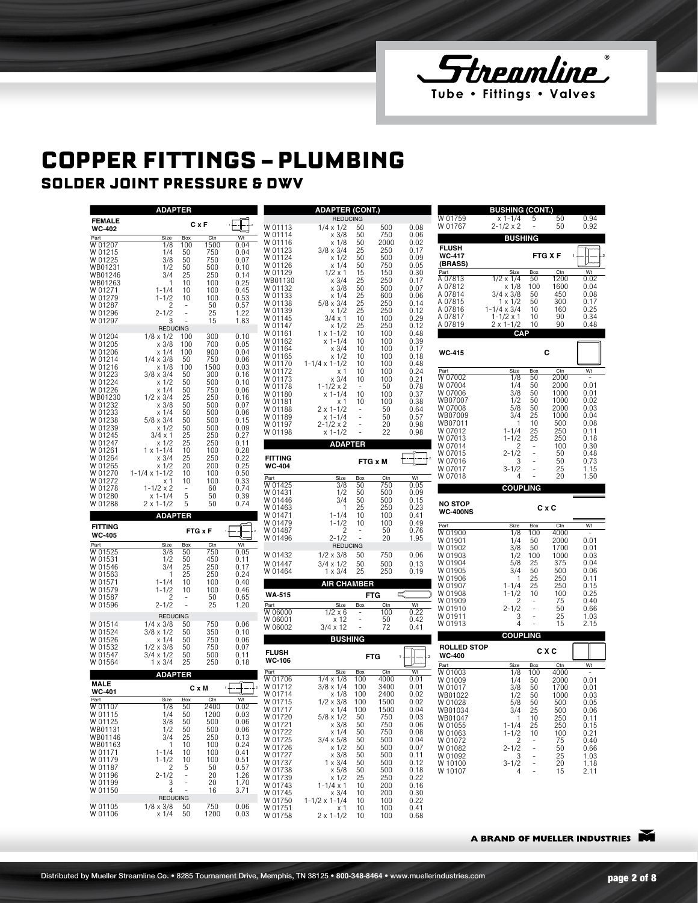Ftreamline

### COPPER FITTINGS – PLUMBING SOLDER JOINT PRESSURE & DWV

|                                | <u>ADAPTER</u>                       |                          |             |              |                               | ADAPTER (CONT.)                                       |                          |                   |                      | W 01759                             | <b>BUSHING (CONT.)</b>                 |                               |              |              |
|--------------------------------|--------------------------------------|--------------------------|-------------|--------------|-------------------------------|-------------------------------------------------------|--------------------------|-------------------|----------------------|-------------------------------------|----------------------------------------|-------------------------------|--------------|--------------|
| <b>FEMALE</b><br><b>WC-402</b> |                                      |                          | CxF         |              | W 01113                       | <b>REDUCING</b><br>$1/4 \times 1/2$                   | 50                       | 500               | 0.08                 | W 01767                             | $x 1 - 1/4$<br>$2 - 1/2 \times 2$      | 5                             | 50<br>50     | 0.94<br>0.92 |
| Part                           | Size                                 | Box                      | Ctn         | Wt           | W 01114                       | $x \frac{3}{8}$                                       | 50                       | 750               | 0.06                 |                                     | <b>BUSHING</b>                         |                               |              |              |
| W 01207                        | 1/8                                  | 100                      | 1500        | 0.04         | W 01116<br>W 01123            | $x \frac{1}{8}$<br>$3/8 \times 3/4$                   | 50<br>25                 | 2000<br>250       | 0.02<br>0.17         | <b>FLUSH</b>                        |                                        |                               |              |              |
| W 01215<br>W 01225             | 1/4<br>3/8                           | 50<br>50                 | 750<br>750  | 0.04<br>0.07 | W 01124                       | x 1/2                                                 | 50                       | 500               | 0.09                 | <b>WC-417</b>                       |                                        |                               | FTG X F      |              |
| WB01231                        | 1/2                                  | 50                       | 500         | 0.10         | W 01126                       | x 1/4                                                 | 50                       | 750               | 0.05                 | (BRASS)                             |                                        |                               |              |              |
| WB01246                        | 3/4                                  | 25                       | 250         | 0.14         | W 01129<br>WB01130            | $1/2 \times 1$<br>$x \frac{3}{4}$                     | 15<br>25                 | 150<br>250        | 0.30<br>0.17         | Part<br>A 07813                     | Size<br>$1/2 \times 1/4$               | Box<br>50                     | Ctn<br>1200  | Wt<br>0.02   |
| WB01263<br>W 01271             | $1 - 1/4$                            | 10<br>10                 | 100<br>100  | 0.25<br>0.45 | W 01132                       | $x \frac{3}{8}$                                       | 50                       | 500               | 0.07                 | A 07812                             | x 1/8                                  | 100                           | 1600         | 0.04         |
| W 01279                        | $1 - 1/2$                            | 10                       | 100         | 0.53         | W 01133                       | x 1/4                                                 | 25                       | 600               | 0.06                 | A 07814                             | $3/4 \times 3/8$                       | 50                            | 450          | 0.08         |
| W 01287                        | $\overline{c}$                       | ٠                        | 50          | 0.57         | W 01138<br>W 01139            | $5/8 \times 3/4$<br>x 1/2                             | 25<br>25                 | 250<br>250        | 0.14<br>0.12         | A 07815<br>A 07816                  | $1 \times 1/2$<br>$1 - 1/4 \times 3/4$ | 50<br>10                      | 300<br>160   | 0.17<br>0.25 |
| W 01296<br>W 01297             | $2 - 1/2$<br>3                       | ÷.                       | 25<br>15    | 1.22<br>1.83 | W 01145                       | $3/4 \times 1$                                        | 10                       | 100               | 0.29                 | A 07817                             | $1 - 1/2 \times 1$                     | 10                            | 90           | 0.34         |
|                                | <b>REDUCING</b>                      |                          |             |              | W 01147                       | x 1/2                                                 | 25                       | 250               | 0.12                 | A 07819                             | $2 \times 1 - 1/2$                     | 10                            | 90           | 0.48         |
| W 01204                        | $1/8 \times 1/2$                     | 100                      | 300         | 0.10         | W 01161<br>W 01162            | $1 \times 1 - 1/2$<br>$x 1 - 1/4$                     | 10<br>10                 | 100<br>100        | 0.48<br>0.39         |                                     | CAP                                    |                               |              |              |
| W 01205<br>W 01206             | $x \frac{3}{8}$<br>x 1/4             | 100<br>100               | 700<br>900  | 0.05<br>0.04 | W 01164                       | $x \frac{3}{4}$                                       | 10                       | 100               | 0.17                 | <b>WC-415</b>                       |                                        |                               | c            |              |
| W 01214                        | $1/4 \times 3/8$                     | 50                       | 750         | 0.06         | W 01165                       | x 1/2                                                 | 10                       | 100               | 0.18                 |                                     |                                        |                               |              |              |
| W 01216                        | x 1/8                                | 100                      | 1500        | 0.03         | W 01170<br>W 01172            | $1 - 1/4 \times 1 - 1/2$<br>x <sub>1</sub>            | 10<br>10                 | 100<br>100        | 0.48<br>0.24         | Part                                | Size                                   | Box                           | Ctn          | Wt           |
| W 01223<br>W 01224             | $3/8 \times 3/4$<br>x 1/2            | 50<br>50                 | 300<br>500  | 0.16<br>0.10 | W 01173                       | $x \frac{3}{4}$                                       | 10                       | 100               | 0.21                 | W 07002                             | 1/8                                    | 50                            | 2000         |              |
| W 01226                        | x 1/4                                | 50                       | 750         | 0.06         | W 01178                       | $1 - 1/2 \times 2$                                    |                          | 50                | 0.78                 | W 07004<br>W 07006                  | 1/4<br>3/8                             | 50<br>50                      | 2000<br>1000 | 0.01<br>0.01 |
| WB01230                        | $1/2 \times 3/4$                     | 25                       | 250         | 0.16         | W 01180<br>W 01181            | $x 1 - 1/4$<br>x 1                                    | 10<br>10                 | 100<br>100        | 0.37<br>0.38         | WB07007                             | 1/2                                    | 50                            | 1000         | 0.02         |
| W 01232<br>W 01233             | x 3/8<br>x 1/4                       | 50<br>50                 | 500<br>500  | 0.07<br>0.06 | W 01188                       | $2 \times 1 - 1/2$                                    |                          | 50                | 0.64                 | W 07008                             | 5/8                                    | 50                            | 2000         | 0.03         |
| W 01238                        | $5/8 \times 3/4$                     | 50                       | 500         | 0.15         | W 01189                       | $x 1 - 1/4$                                           |                          | 50                | 0.57                 | WB07009                             | 3/4                                    | 25                            | 1000         | 0.04         |
| W 01239                        | x 1/2                                | 50                       | 500         | 0.09         | W 01197<br>W 01198            | $2 - 1/2 \times 2$<br>$x 1 - 1/2$                     |                          | 20<br>22          | 0.98<br>0.98         | WB07011<br>W 07012                  | $1 - 1/4$                              | 10<br>25                      | 500<br>250   | 0.08<br>0.11 |
| W 01245<br>W 01247             | $3/4 \times 1$                       | 25<br>25                 | 250<br>250  | 0.27<br>0.11 |                               |                                                       |                          |                   |                      | W 07013                             | $1 - 1/2$                              | 25                            | 250          | 0.18         |
| W 01261                        | x 1/2<br>$1 \times 1 - 1/4$          | 10                       | 100         | 0.28         |                               | <b>ADAPTER</b>                                        |                          |                   |                      | W 07014                             | 2                                      |                               | 100          | 0.30         |
| W 01264                        | x 3/4                                | 25                       | 250         | 0.22         | <b>FITTING</b>                |                                                       |                          | FTG x M           |                      | W 07015<br>W 07016                  | $2 - 1/2$<br>3                         |                               | 50<br>50     | 0.48<br>0.73 |
| W 01265                        | x 1/2                                | 20                       | 200         | 0.25         | <b>WC-404</b>                 |                                                       |                          |                   |                      | W 07017                             | $3 - 1/2$                              |                               | 25           | 1.15         |
| W 01270<br>W 01272             | $1 - 1/4 \times 1 - 1/2$<br>x 1      | 10<br>10                 | 100<br>100  | 0.50<br>0.33 | Part                          | Size                                                  | Box                      | Ctn               | Wt                   | W 07018                             |                                        |                               | 20           | 1.50         |
| W 01278                        | $1 - 1/2 \times 2$                   | ٠                        | 60          | 0.74         | W 01425<br>W 01431            | 3/8<br>1/2                                            | 50<br>50                 | 750<br>500        | 0.05<br>0.09         |                                     | <b>COUPLING</b>                        |                               |              |              |
| W 01280<br>W 01288             | $x 1 - 1/4$<br>$2 \times 1 - 1/2$    | 5<br>5                   | 50<br>50    | 0.39<br>0.74 | W 01446                       | 3/4                                                   | 50                       | 500               | 0.15                 | <b>NO STOP</b>                      |                                        |                               |              |              |
|                                |                                      |                          |             |              | W 01463                       |                                                       | 25                       | 250               | 0.23                 |                                     |                                        |                               | $C \times C$ |              |
|                                |                                      |                          |             |              |                               |                                                       |                          |                   |                      |                                     |                                        |                               |              |              |
|                                | <b>ADAPTER</b>                       |                          |             |              | W 01471<br>W 01479            | $1 - 1/4$<br>$1 - 1/2$                                | 10<br>10                 | 100<br>100        | 0.41<br>0.49         | <b>WC-400NS</b>                     |                                        |                               |              |              |
| <b>FITTING</b>                 |                                      |                          | FTG x F     |              | W 01487                       | 2                                                     |                          | 50                | 0.76                 | Part<br>W 01900                     | Size<br>1/8                            | $\overline{Box}$<br>100       | Ctn<br>4000  | Wt<br>٠      |
| <b>WC-405</b>                  |                                      |                          |             |              | W 01496                       | $2 - 1/2$                                             | $\overline{\phantom{a}}$ | 20                | 1.95                 | W 01901                             | 1/4                                    | 50                            | 2000         | 0.01         |
| Part<br>W 01525                | Size<br>3/8                          | Box<br>50                | Ctn<br>750  | Wt<br>0.05   |                               | <b>REDUCING</b>                                       |                          |                   |                      | W 01902                             | 3/8                                    | 50                            | 1700         | 0.01         |
| W 01531                        | 1/2                                  | 50                       | 450         | 0.11         | W 01432<br>W 01447            | $1/2 \times 3/8$<br>$3/4 \times 1/2$                  | 50<br>50                 | 750<br>500        | 0.06<br>0.13         | W 01903<br>W 01904                  | 1/2<br>5/8                             | 100<br>25                     | 1000<br>375  | 0.03<br>0.04 |
| W 01546                        | 3/4                                  | 25<br>25                 | 250         | 0.17         | W 01464                       | $1 \times 3/4$                                        | 25                       | 250               | 0.19                 | W 01905                             | 3/4                                    | 50                            | 500          | 0.06         |
| W 01563<br>W 01571             | $1 - 1/4$                            | 10                       | 250<br>100  | 0.24<br>0.40 |                               | <b>AIR CHAMBER</b>                                    |                          |                   |                      | W 01906                             |                                        | 25                            | 250          | 0.11         |
| W 01579                        | $1 - 1/2$                            | 10                       | 100         | 0.46         |                               |                                                       |                          |                   |                      | W 01907<br>W 01908                  | $1 - 1/4$<br>$1 - 1/2$                 | 25<br>10                      | 250<br>100   | 0.15<br>0.25 |
| W 01587                        | 2                                    | ٠<br>÷,                  | 50          | 0.65         | <b>WA-515</b><br>Part         |                                                       |                          | <b>FTG</b>        | Wt                   | W 01909                             | 2                                      |                               | 75           | 0.40         |
| W 01596                        | $2 - 1/2$                            |                          | 25          | 1.20         | W 06000                       | Size<br>$1/2 \times 6$                                | Box                      | Ctn<br>100        | 0.22                 | W 01910                             | $2 - 1/2$                              |                               | 50           | 0.66         |
| W 01514                        | <b>REDUCING</b><br>$1/4 \times 3/8$  | 50                       | 750         | 0.06         | W 06001                       | x 12                                                  | ä,                       | 50                | 0.42                 | W 01911<br>W 01913                  | 3<br>4                                 |                               | 25<br>15     | 1.03<br>2.15 |
| W 01524                        | $3/8 \times 1/2$                     | 50                       | 350         | 0.10         | W 06002                       | $3/4 \times 12$                                       | ä,                       | 72                | 0.41                 |                                     | <b>COUPLING</b>                        |                               |              |              |
| W 01526                        | x 1/4                                | 50                       | 750         | 0.06         |                               | <b>BUSHING</b>                                        |                          |                   |                      |                                     |                                        |                               |              |              |
| W 01532<br>W 01547             | $1/2 \times 3/8$<br>$3/4 \times 1/2$ | 50<br>50                 | 750<br>500  | 0.07<br>0.11 | <b>FLUSH</b>                  |                                                       |                          | <b>FTG</b>        | ٠,                   | <b>ROLLED STOP</b><br><b>WC-400</b> |                                        |                               | <b>CXC</b>   |              |
| W 01564                        | $1 \times 3/4$                       | 25                       | 250         | 0.18         | WC-106                        |                                                       |                          |                   |                      | Part                                | Size                                   | Box                           | Ctn          | Wt           |
|                                | <b>ADAPTER</b>                       |                          |             |              | Part                          | Size                                                  | Box                      | Ctn               | Wt                   | W 01003                             | 1/8                                    | 100                           | 4000         |              |
| <b>MALE</b>                    |                                      |                          | C x M       |              | W 01706<br>W 01712            | $1/4 \times 1/8$<br>$3/8 \times 1/4$                  | 100<br>100               | 4000<br>3400      | 0.01<br>0.01         | W 01009<br>W 01017                  | 1/4<br>3/8                             | 50<br>50                      | 2000<br>1700 | 0.01<br>0.01 |
| <b>WC-401</b>                  |                                      |                          |             | Wt           | W 01714                       | x 1/8                                                 | 100                      | 2400              | 0.02                 | WB01022                             | 1/2                                    | 50                            | 1000         | 0.03         |
| Part<br>W 01107                | Size<br>1/8                          | Box<br>50                | Ctn<br>2400 | 0.02         | W 01715                       | $1/2 \times 3/8$                                      | 100                      | 1500              | 0.02                 | W 01028                             | 5/8                                    | 50                            | 500          | 0.05         |
| W 01115                        | 1/4                                  | 50                       | 1200        | 0.03         | W 01717<br>W 01720            | x 1/4<br>$5/8 \times 1/2$                             | 100<br>50                | 1500<br>750       | 0.04<br>0.03         | WB01034<br>WB01047                  | 3/4                                    | 25<br>10                      | 500<br>250   | 0.06<br>0.11 |
| W 01125                        | 3/8                                  | 50                       | 500         | 0.06         | W 01721                       | $x \frac{3}{8}$                                       | 50                       | 750               | 0.06                 | W 01055                             | $1 - 1/4$                              | 25                            | 250          | 0.15         |
| WB01131<br>WB01146             | 1/2<br>3/4                           | 50<br>25                 | 500<br>250  | 0.06<br>0.13 | W 01722                       | x 1/4                                                 | 50                       | 750               | 0.08                 | W 01063                             | $1 - 1/2$                              | 10                            | 100          | 0.21         |
| WB01163                        | 1                                    | 10                       | 100         | 0.24         | W 01725<br>W 01726            | $3/4 \times 5/8$<br>x 1/2                             | 50<br>50                 | 500<br>500        | 0.04<br>0.07         | W 01072<br>W 01082                  | 2<br>$2 - 1/2$                         | $\overline{\phantom{a}}$<br>÷ | 75<br>50     | 0.40<br>0.66 |
| W 01171                        | $1 - 1/4$                            | 10                       | 100         | 0.41         | W 01727                       | $x \frac{3}{8}$                                       | 50                       | 500               | 0.11                 | W 01092                             | 3                                      | ÷                             | 25           | 1.03         |
| W 01179<br>W 01187             | $1 - 1/2$<br>$\overline{c}$          | 10<br>5                  | 100<br>50   | 0.51<br>0.57 | W 01737                       | $1 \times 3/4$                                        | 50                       | 500               | 0.12                 | W 10100                             | $3 - 1/2$                              | $\frac{1}{2}$                 | 20           | 1.18         |
| W 01196                        | $2 - 1/2$                            | $\overline{\phantom{a}}$ | 20          | 1.26         | W 01738<br>W 01739            | x 5/8<br>x 1/2                                        | 50<br>25                 | 500<br>250        | 0.18<br>0.22         | W 10107                             | 4                                      | L,                            | 15           | 2.11         |
| W 01199                        | 3                                    | ÷                        | 20          | 1.70         | W 01743                       | $1 - 1/4 \times 1$                                    | 10                       | 200               | 0.16                 |                                     |                                        |                               |              |              |
| W 01150                        | 4<br><b>REDUCING</b>                 |                          | 16          | 3.71         | W 01745                       | $x \frac{3}{4}$                                       | 10                       | 200               | 0.30                 |                                     |                                        |                               |              |              |
| W 01105<br>W 01106             | $1/8 \times 3/8$<br>x 1/4            | 50<br>50                 | 750<br>1200 | 0.06<br>0.03 | W 01750<br>W 01751<br>W 01758 | $1 - 1/2 \times 1 - 1/4$<br>x 1<br>$2 \times 1 - 1/2$ | 10<br>10<br>10           | 100<br>100<br>100 | 0.22<br>0.41<br>0.68 |                                     |                                        |                               |              |              |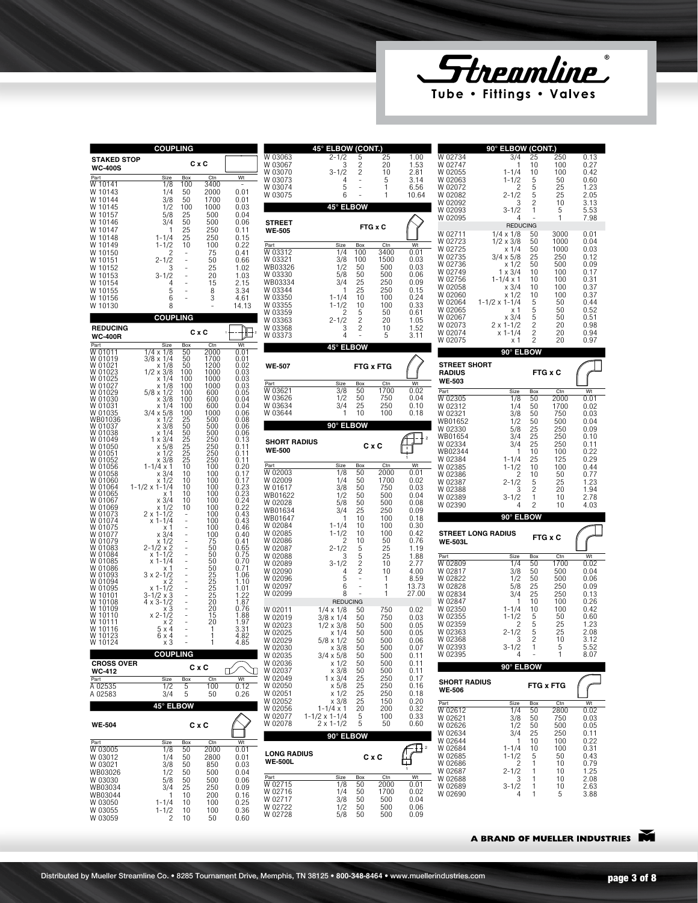

|                                      | <b>COUPLING</b>                      |                |                                              |              |                                      | 45° ELBOW (CONT.)                              |                              |              |              |                                      | 90° ELBOW (CONT.)                 |           |                  |              |
|--------------------------------------|--------------------------------------|----------------|----------------------------------------------|--------------|--------------------------------------|------------------------------------------------|------------------------------|--------------|--------------|--------------------------------------|-----------------------------------|-----------|------------------|--------------|
| <b>STAKED STOP</b><br><b>WC-400S</b> |                                      |                | CxC                                          |              | W 03063<br>W 03067                   | 2-1/2<br>3                                     | 5<br>$\frac{2}{2}$           | 25<br>20     | 1.00<br>1.53 | W 02734<br>W 02747                   | 3/4                               | 25<br>10  | 250<br>100       | 0.13<br>0.27 |
| Part                                 | Size                                 | Box            | Ctn                                          | Wt           | W 03070<br>W 03073                   | $3 - 1/2$<br>4                                 |                              | 10<br>5      | 2.81<br>3.14 | W 02055<br>W 02063                   | $1 - 1/4$<br>$1 - 1/2$            | 10<br>5   | 100<br>50        | 0.42<br>0.60 |
| W 10141<br>W 10143                   | 1/8<br>1/4                           | 100<br>50      | 3400<br>2000                                 | 0.01         | W 03074                              | 5                                              |                              | 1            | 6.56         | W 02072                              | 2                                 | 5         | 25               | 1.23         |
| W 10144                              | 3/8                                  | 50             | 1700                                         | 0.01         | W 03075                              | 6                                              |                              | 1            | 10.64        | W 02082<br>W 02092                   | $2 - 1/2$<br>3                    | 5<br>2    | 25<br>10         | 2.05<br>3.13 |
| W 10145<br>W 10157                   | 1/2<br>5/8                           | 100<br>25      | 1000<br>500                                  | 0.03<br>0.04 |                                      | 45° ELBOW                                      |                              |              |              | W 02093                              | $3 - 1/2$                         | 1         | 5                | 5.53         |
| W 10146                              | 3/4                                  | 50             | 500                                          | 0.06         | <b>STREET</b>                        |                                                |                              | FTG x C      |              | W 02095                              | 4<br><b>REDUCING</b>              |           | 1                | 7.98         |
| W 10147<br>W 10148                   | $1 - 1/4$                            | 25<br>25       | 250<br>250                                   | 0.11<br>0.15 | <b>WE-505</b>                        |                                                |                              |              |              | W 02711                              | $1/4 \times 1/8$                  | 50        | 3000             | 0.01         |
| W 10149<br>W 10150                   | $1 - 1/2$<br>2                       | 10             | 100<br>75                                    | 0.22<br>0.41 | Part<br>W 03312                      | Size<br>1/4                                    | Box<br>100                   | Ctn<br>3400  | Wt<br>0.01   | W 02723<br>W 02725                   | $1/2 \times 3/8$<br>x 1/4         | 50<br>50  | 1000<br>1000     | 0.04<br>0.03 |
| W 10151                              | $2 - 1/2$                            | Ĭ.             | 50                                           | 0.66         | W 03321                              | 3/8                                            | 100                          | 1500         | 0.03         | W 02735<br>W 02736                   | $3/4 \times 5/8$<br>x 1/2         | 25<br>50  | 250<br>500       | 0.12<br>0.09 |
| W 10152<br>W 10153                   | 3<br>$3 - 1/2$                       |                | 25<br>20                                     | 1.02<br>1.03 | WB03326<br>W 03330                   | 1/2<br>5/8                                     | 50<br>50                     | 500<br>500   | 0.03<br>0.06 | W 02749                              | $1 \times 3/4$                    | 10        | 100              | 0.17         |
| W 10154                              | 4                                    |                | 15                                           | 2.15         | WB03334                              | 3/4                                            | 25                           | 250          | 0.09         | W 02756<br>W 02058                   | $1 - 1/4 \times 1$<br>x3/4        | 10<br>10  | 100<br>100       | 0.31<br>0.37 |
| W 10155<br>W 10156                   | 5<br>6                               |                | 8<br>3                                       | 3.34<br>4.61 | W 03344<br>W 03350                   | $1 - 1/4$                                      | 25<br>10                     | 250<br>100   | 0.15<br>0.24 | W 02060                              | x 1/2                             | 10        | 100              | 0.37         |
| W 10130                              | 8                                    |                |                                              | 14.13        | W 03355                              | $1 - 1/2$                                      | 10                           | 100          | 0.33         | W 02064<br>W 02065                   | $1 - 1/2 \times 1 - 1/4$<br>x 1   | 5<br>5    | 50<br>50         | 0.44<br>0.52 |
|                                      | <b>COUPLING</b>                      |                |                                              |              | W 03359<br>W 03363                   | 2<br>$2 - 1/2$                                 | 5<br>$\overline{\mathbf{c}}$ | 50<br>20     | 0.61<br>1.05 | W 02067                              | x <sub>3/4</sub>                  | 5         | 50               | 0.51         |
| <b>REDUCING</b><br><b>WC-400R</b>    |                                      |                | <b>CxC</b>                                   | łΕ           | W 03368<br>W 03373                   | 3<br>4                                         | 2                            | 10<br>5      | 1.52<br>3.11 | W 02073<br>W 02074                   | $2 \times 1 - 1/2$<br>$x 1 - 1/4$ | 2<br>2    | 20<br>20         | 0.98<br>0.94 |
| Part                                 | Size                                 | Box            | Ctn                                          | Wt           |                                      | 45° ELBOW                                      |                              |              |              | W 02075                              | x 1                               | 2         | 20               | 0.97         |
| W 01011<br>W 01019                   | $1/4 \times 1/8$<br>$3/8 \times 1/4$ | 50<br>50       | 2000<br>1700                                 | 0.01<br>0.01 |                                      |                                                |                              |              |              |                                      | 90° ELBOW                         |           |                  |              |
| W 01021<br>W 01023                   | $x \frac{1}{8}$<br>$1/2 \times 3/8$  | 50<br>100      | 1200<br>1000                                 | 0.02<br>0.03 | <b>WE-507</b>                        |                                                |                              | FTG x FTG    |              | <b>STREET SHORT</b><br><b>RADIUS</b> |                                   |           | FTG x C          |              |
| W 01025                              | x 1/4                                | 100            | 1000                                         | 0.03         | Part                                 | Size                                           | Box                          | Ctn          | Wt           | <b>WE-503</b>                        |                                   |           |                  |              |
| W 01027<br>W 01029                   | x 1/8<br>5/8 x 1/2                   | 100<br>100     | 1000<br>600                                  | 0.03<br>0.05 | W 03621                              | 3/8                                            | 50                           | 1700         | 0.02         | Part                                 | Size                              | Box       | Ctn              | Wt           |
| W 01030<br>W 01031                   | $x \frac{3}{8}$<br>x 1/4             | 100<br>100     | 600<br>600                                   | 0.04<br>0.04 | W 03626<br>W 03634                   | 1/2<br>3/4                                     | 50<br>25                     | 750<br>250   | 0.04<br>0.10 | W 02305<br>W 02312                   | 1/8<br>1/4                        | 50<br>50  | 2000<br>1700     | 0.01<br>0.02 |
| W 01035<br>WB01036                   | $3/4 \times 5/8$<br>x 1/2            | 100<br>25      | 1000<br>500                                  | 0.06<br>0.08 | W 03644                              | 1                                              | 10                           | 100          | 0.18         | W 02321                              | 3/8                               | 50        | 750              | 0.03         |
| W 01037                              | $x \frac{3}{8}$                      | 50             | 500                                          | 0.06         |                                      | 90° ELBOW                                      |                              |              |              | WB01652<br>W 02330                   | 1/2<br>5/8                        | 50<br>25  | 500<br>250       | 0.04<br>0.09 |
| W 01038<br>W 01049                   | x 1/4<br>$1 \times 3/4$              | 50<br>25       | 500<br>250                                   | 0.06<br>0.13 | <b>SHORT RADIUS</b>                  |                                                |                              |              |              | WB01654                              | 3/4                               | 25        | 250              | 0.10         |
| W 01050<br>W 01051                   | x 5/8<br>$x$ 1/2                     | 25<br>25<br>25 | 250<br>250                                   | 0.11<br>0.11 | <b>WE-500</b>                        |                                                |                              | $C \times C$ |              | W 02334<br>WB02344                   | 3/4                               | 25<br>10  | 250<br>100       | 0.11<br>0.22 |
| W 01052<br>W 01056                   | x 3/8<br>$1 - 1/4 \times 1$          | 10             | 250<br>100                                   | 0.11<br>0.20 | Part                                 | Size                                           | Box                          | Ctn          | Wt           | W 02384<br>W 02385                   | $1 - 1/4$<br>$1 - 1/2$            | 25<br>10  | 125<br>100       | 0.29<br>0.44 |
| W 01058                              | $x \frac{3}{4}$                      | 10             | 100                                          | 0.17         | W 02003                              | 1/8                                            | 50                           | 2000         | 0.01         | W 02386                              | 2                                 | 10        | 50               | 0.77         |
| W 01060<br>W 01064                   | $x$ 1/2<br>1-1/2 x 1-1/4             | 10<br>10       | 100<br>100                                   | 0.17         | W 02009                              | 1/4                                            | 50                           | 1700         | 0.02         | W 02387                              | $2 - 1/2$                         | 5         | 25               | 1.23         |
|                                      |                                      |                |                                              | 0.23         | W 01617                              |                                                |                              |              |              |                                      |                                   |           |                  |              |
| W 01065                              | x 1                                  | 10             | 100                                          | 0.23         | WB01622                              | 3/8<br>1/2                                     | 50<br>50                     | 750<br>500   | 0.03<br>0.04 | W 02388<br>W 02389                   | 3<br>$3 - 1/2$                    | 2<br>1    | 20<br>10         | 1.94<br>2.78 |
| W 01067<br>W 01069                   | x <sub>3/4</sub><br>x 1/2            | 10<br>10       | 100<br>100                                   | 0.24<br>0.22 | W 02028<br>WB01634                   | 5/8<br>3/4                                     | 50<br>25                     | 500<br>250   | 0.08<br>0.09 | W 02390                              |                                   | 2         | 10               | 4.03         |
| W 01073<br>W 01074                   | $2 \times 1 - 1/2$<br>$x 1 - 1/4$    |                | 100<br>100                                   | 0.43<br>0.43 | WB01647                              |                                                | 10                           | 100          | 0.18         |                                      | 90° ELBOW                         |           |                  |              |
| W 01075                              | x 1                                  |                | 100                                          | 0.46         | W 02084<br>W 02085                   | $1 - 1/4$<br>$1 - 1/2$                         | 10<br>10                     | 100<br>100   | 0.30<br>0.42 |                                      | <b>STREET LONG RADIUS</b>         |           |                  |              |
| W 01077<br>W 01079                   | x <sub>3/4</sub><br>x 1/2            |                | 100<br>75                                    | 0.40<br>0.41 | W 02086                              | 2                                              | 10                           | 50           | 0.76         | <b>WE-503L</b>                       |                                   |           | FTG x C          |              |
| W 01083<br>W 01084                   | $2 - 1/2 \times 2$<br>$x - 1/2$      |                | 50<br>50                                     | 0.65<br>0.75 | W 02087<br>W 02088                   | $2 - 1/2$<br>3                                 | 5<br>5                       | 25<br>25     | 1.19<br>1.88 | Part                                 | Size                              | Box       | Ctn              | Wt           |
| W 01085<br>W 01086                   | $x 1 - 1/4$<br>x 1                   |                |                                              | 0.70<br>0.71 | W 02089                              | $3 - 1/2$                                      | $\overline{c}$               | 10           | 2.77         | W 02809                              | 1/4                               | 50        | 1700             | 0.02         |
| W 01093                              | $3 \times 2 - 1/2$                   |                |                                              | 1.06         | W 02090<br>W 02096                   | 4<br>5                                         | 2<br>$\sim$                  | 10<br>1      | 4.00<br>8.59 | W 02817<br>W 02822                   | 3/8<br>1/2                        | 50<br>50  | 500<br>500       | 0.04<br>0.06 |
| W 01094<br>W 01095                   | $x + \frac{x^2}{2}$                  |                |                                              | 1.10<br>1.01 | W 02097                              | 6                                              |                              | 1            | 13.73        | W 02828                              | 5/8                               | 25        | 250              | 0.09         |
| W 10101<br>W 10108                   | $3 - 1/2 \times 3$<br>4 x 3-1/2      |                |                                              | 1.22<br>1.87 | W 02099                              | 8<br><b>REDUCING</b>                           |                              | 1            | 27.00        | W 02834<br>W 02847                   | 3/4                               | 25<br>10  | 250<br>100       | 0.13<br>0.26 |
| W 10109<br>W 10110                   | x <sub>3</sub><br>$x 2 - 1/2$        |                | 50<br>50<br>25<br>25<br>20<br>20<br>20<br>15 | 0.76<br>1.88 | W 02011                              | $1/4 \times 1/8$                               | 50                           | 750          | 0.02         | W 02350                              | $1 - 1/4$                         | 10        | 100              | 0.42         |
| W 10111                              | x <sub>2</sub>                       |                | 20<br>1                                      | 1.97         | W 02019<br>W 02023                   | $3/8 \times 1/4$<br>$1/2 \times 3/8$           | 50<br>50                     | 750<br>500   | 0.03<br>0.05 | W 02355<br>W 02359                   | $1 - 1/2$<br>2                    | 5<br>5    | 50<br>25         | 0.60<br>1.23 |
| W 10116<br>W 10123                   | $5 \times 4$<br>6 x 4                |                |                                              | 3.31<br>4.82 | W 02025                              | x 1/4                                          | 50                           | 500          | 0.05         | W 02363<br>W 02368                   | $2 - 1/2$<br>3                    | 5<br>2    | 25<br>10         | 2.08<br>3.12 |
| W 10124                              | xЗ                                   |                |                                              | 4.85         | W 02029<br>W 02030                   | $5/8 \times 1/2$<br>$x \frac{3}{8}$            | 50<br>50                     | 500<br>500   | 0.06<br>0.07 | W 02393                              | $3 - 1/2$                         | 1         | 5                | 5.52         |
| <b>CROSS OVER</b>                    | COUPLIN                              |                |                                              |              | W 02035<br>W 02036                   | 3/4 X 5/8<br>$x \frac{1}{2}$                   | 50<br>50                     | 500<br>500   | 0.11<br>0.11 | W 02395                              |                                   |           |                  | 8.07         |
| <b>WC-412</b>                        |                                      |                | $C \times C$                                 |              | W 02037                              | $x \frac{3}{8}$                                | 50                           | 500          | 0.11         |                                      | 90° ELBOW                         |           |                  |              |
| Part<br>A 02535                      | Size<br>1/2                          | Box<br>5       | Ctn<br>100                                   | Wt<br>0.12   | W 02049<br>W 02050                   | $1 \times 3/4$<br>x 5/8                        | 25<br>25                     | 250<br>250   | 0.17<br>0.16 | <b>SHORT RADIUS</b>                  |                                   |           | <b>FTG x FTG</b> |              |
| A 02583                              | 3/4                                  | 5              | 50                                           | 0.26         | W 02051<br>W 02052                   | x 1/2<br>$x \frac{3}{8}$                       | 25<br>25                     | 250<br>150   | 0.18<br>0.20 | <b>WE-506</b>                        |                                   |           |                  |              |
|                                      | 45° ELBOW                            |                |                                              |              | W 02056                              | $1 - 1/4 \times 1$                             | 20                           | 200          | 0.32         | Part<br>W 02612                      | Size<br>1/4                       | Box<br>50 | Ctn<br>2800      | Wt<br>0.02   |
| <b>WE-504</b>                        |                                      |                | <b>C</b> x C                                 |              | W 02077<br>W 02078                   | $1 - 1/2 \times 1 - 1/4$<br>$2 \times 1 - 1/2$ | 5<br>5                       | 100<br>50    | 0.33<br>0.60 | W 02621                              | 3/8                               | 50        | 750<br>500       | 0.03         |
|                                      |                                      |                |                                              |              |                                      | 90° ELBOW                                      |                              |              |              | W 02626<br>W 02634                   | 1/2<br>3/4                        | 50<br>25  | 250              | 0.05<br>0.11 |
| Part<br>W 03005                      | Size<br>1/8                          | Box            | Ctn<br>2000                                  | Wt<br>0.01   |                                      |                                                |                              |              |              | W 02644<br>W 02684                   | 1<br>$1 - 1/4$                    | 10<br>10  | 100<br>100       | 0.22<br>0.31 |
| W 03012                              | 1/4                                  | 50<br>50       | 2800                                         | 0.01         | <b>LONG RADIUS</b><br><b>WE-500L</b> |                                                |                              | <b>C</b> x C |              | W 02685                              | $1 - 1/2$                         | 5         | 50               | 0.43         |
| W 03021<br>WB03026                   | 3/8<br>1/2                           | 50<br>50       | 850<br>500                                   | 0.03<br>0.04 |                                      |                                                |                              |              |              | W 02686<br>W 02687                   | 2<br>$2 - 1/2$                    | 1<br>1    | 10<br>10         | 0.79<br>1.25 |
| W 03030                              | 5/8                                  | 50             | 500                                          | 0.06         | Part<br>W 02715                      | Size<br>1/8                                    | Box<br>50                    | Ctn<br>2000  | Wt<br>0.01   | W 02688                              | 3                                 | 1         | 10               | 2.08         |
| WB03034<br>WB03044                   | 3/4<br>1                             | 25<br>10       | 250<br>200                                   | 0.09<br>0.16 | W 02716                              | 1/4                                            | 50                           | 1700         | 0.02         | W 02689<br>W 02690                   | $3 - 1/2$<br>4                    | 1<br>1    | 10<br>5          | 2.63<br>3.88 |
| W 03050<br>W 03055                   | $1 - 1/4$<br>$1 - 1/2$               | 10<br>10       | 100<br>100                                   | 0.25<br>0.36 | W 02717<br>W 02722                   | 3/8<br>1/2                                     | 50<br>50                     | 500<br>500   | 0.04<br>0.06 |                                      |                                   |           |                  |              |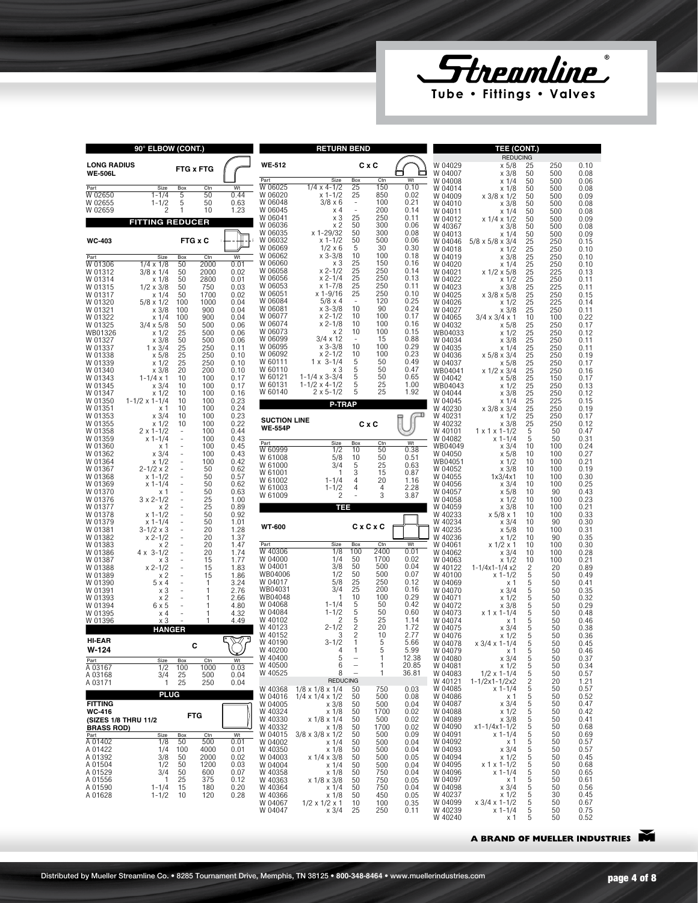Ftreamline

|                                      | 90° ELBOW (CONT.)                          |                          |             |              |                               | <b>RETURN BEND</b>                             |                                      |                         |                      |                               | <b>TEE (CONT.)</b>                             |                                            |                   |                      |
|--------------------------------------|--------------------------------------------|--------------------------|-------------|--------------|-------------------------------|------------------------------------------------|--------------------------------------|-------------------------|----------------------|-------------------------------|------------------------------------------------|--------------------------------------------|-------------------|----------------------|
| <b>LONG RADIUS</b><br><b>WE-506L</b> |                                            |                          | FTG x FTG   |              | <b>WE-512</b><br>Part         | Size                                           | Box                                  | $C \times C$<br>Ctn     | Wt                   | W 04029<br>W 04007            | <b>REDUCING</b><br>x 5/8<br>x 3/8              | 25<br>50                                   | 250<br>500        | 0.10<br>0.08         |
| Part<br>W 02650                      | Size<br>$1 - 1/4$                          | Box<br>5                 | Ctn<br>50   | Wt<br>0.44   | W 06025<br>W 06020            | $\frac{1}{4 \times 4 - 1}{2}$<br>$x 1 - 1/2$   | 25<br>25                             | 150<br>850              | 0.10<br>0.02         | W 04008<br>W 04014<br>W 04009 | x 1/4<br>x 1/8<br>x 3/8 x 1/2                  | 50<br>50<br>50                             | 500<br>500<br>500 | 0.06<br>0.08<br>0.09 |
| W 02655<br>W 02659                   | $1 - 1/2$<br>$\overline{c}$                | 5                        | 50<br>10    | 0.63<br>1.23 | W 06048<br>W 06045<br>W 06041 | $3/8 \times 6$<br>x 4<br>x <sub>3</sub>        | $\overline{\phantom{a}}$<br>÷,<br>25 | 100<br>200<br>250       | 0.21<br>0.14<br>0.11 | W 04010<br>W 04011<br>W 04012 | $x \frac{3}{8}$<br>x 1/4<br>x 1/4 x 1/2        | 50<br>50<br>50                             | 500<br>500<br>500 | 0.08<br>0.08<br>0.09 |
|                                      | <b>FITTING REDUCER</b>                     |                          |             |              | W 06036<br>W 06035            | x <sub>2</sub><br>x 1-29/32                    | 50<br>50                             | 300<br>300              | 0.06<br>0.08         | W 40367<br>W 04013            | $x \frac{3}{8}$<br>x 1/4                       | 50<br>50                                   | 500<br>500        | 0.08<br>0.09         |
| <b>WC-403</b>                        |                                            |                          | FTG x C     | $_{\rm \pi}$ | W 06032<br>W 06069<br>W 06062 | $x 1 - 1/2$<br>$1/2 \times 6$<br>$x 3 - 3/8$   | 50<br>5<br>10                        | 500<br>30<br>100        | 0.06<br>0.30<br>0.18 | W 04046<br>W 04018            | $5/8 \times 5/8 \times 3/4$<br>x 1/2           | 25<br>25                                   | 250<br>250        | 0.15<br>0.10         |
| Part<br>W 01306                      | Size<br>$1/4 \times 1/8$                   | Box<br>50                | Ctn<br>2000 | Wt<br>0.01   |                               | x <sub>3</sub>                                 | 25                                   | 150                     | 0.16                 | W 04019<br>W 04020            | $x \frac{3}{8}$<br>x 1/4                       | 25<br>25                                   | 250<br>250        | 0.10<br>0.10         |
| W 01312<br>W 01314                   | $3/8 \times 1/4$                           | 50                       | 2000        | 0.02         | W 06060<br>W 06058<br>W 06056 | $x 2 - 1/2$<br>$x 2 - 1/4$                     | 25<br>25                             | 250<br>250              | 0.14<br>0.13         | W 04021<br>W 04022            | x 1/2 x 5/8                                    | 25<br>25                                   | 225               | 0.13                 |
| W 01315                              | x 1/8<br>$1/2 \times 3/8$                  | 50<br>50                 | 2800<br>750 | 0.01<br>0.03 | W 06053                       | $x 1 - 7/8$                                    | 25                                   | 250                     | 0.11                 | W 04023                       | x 1/2<br>x 3/8                                 | 25                                         | 250<br>225        | 0.11<br>0.11         |
| W 01317                              | x 1/4                                      | 50                       | 1700        | 0.02         | W 06051<br>W 06084            | x 1-9/16<br>$5/8 \times 4$                     | 25                                   | 250<br>120              | 0.10                 | W 04025                       | x 3/8 x 5/8                                    | $\frac{25}{25}$                            | 250               | 0.15                 |
| W 01320<br>W 01321                   | $5/8 \times 1/2$<br>x 3/8                  | 100<br>100               | 1000<br>900 | 0.04<br>0.04 | W 06081                       | $x 3 - 3/8$                                    | 10                                   | 90                      | $0.25$<br>$0.24$     | W 04026<br>W 04027            | x 1/2<br>$x \frac{3}{8}$                       | 25                                         | 225<br>250        | 0.14<br>0.11         |
| W 01322                              | x 1/4                                      | 100                      | 900         | 0.04         | W 06077                       | $x 2 - 1/2$                                    | 10                                   | 100                     | 0.17                 | W 04065                       | $3/4 \times 3/4 \times 1$                      | 10                                         | 100               | 0.22                 |
| W 01325<br>WB01326                   | $3/4 \times 5/8$<br>x 1/2                  | 50<br>25                 | 500<br>500  | 0.06<br>0.06 | W 06074                       | $x 2 - 1/8$<br>x <sub>2</sub>                  | 10<br>10                             | 100<br>100              | 0.16<br>0.15         | W 04032<br>WB04033            | x 5/8<br>x 1/2                                 | $\frac{25}{25}$                            | 250<br>250        | 0.17<br>0.12         |
| W 01327                              | x 3/8                                      | 50                       | 500         | 0.06         | W 06073<br>W 06099            | $3/4 \times 12$                                |                                      | 15                      | 0.88                 | W 04034                       | x 3/8                                          | 25                                         | 250               | 0.11                 |
| W 01337<br>W 01338                   | $1 \times 3/4$<br>x 5/8                    | 25<br>25                 | 250<br>250  | 0.11<br>0.10 | W 06095<br>W 06092            | $x 3 - 3/8$<br>$x 2 - 1/2$                     | 10<br>10                             | 100<br>100              | 0.29<br>0.23         | W 04035<br>W 04036            | x 1/4<br>x 5/8 x 3/4                           | 25<br>25                                   | 250<br>250        | 0.11<br>0.19         |
| W 01339                              | x 1/2                                      | 25                       | 250         | 0.10         | W 60111                       | $1 \times 3 - 1/4$                             | 5                                    | 50                      | 0.49                 | W 04037                       | x 5/8                                          | 25                                         | 250               | 0.17                 |
| W 01340<br>W 01343                   | $x \frac{3}{8}$                            | 20<br>10                 | 200<br>100  | 0.10         | W 60110<br>W 60121            | xЗ<br>$1 - 1/4 \times 3 - 3/4$                 | 5<br>5                               | 50<br>50                | 0.47<br>0.65         | WB04041<br>W 04042            | x 1/2 x 3/4                                    | 25<br>25                                   | 250<br>150        | 0.16                 |
| W 01345                              | $1 - 1/4 \times 1$<br>$x \frac{3}{4}$      | 10                       | 100         | 0.17<br>0.17 | W 60131                       | $1 - 1/2 \times 4 - 1/2$                       | 5                                    | 25                      | 1.00                 | WB04043                       | x 5/8<br>x 1/2                                 | 25                                         | 250               | 0.17<br>0.13         |
| W 01347                              | x 1/2                                      | 10                       | 100         | 0.16         | W 60140                       | $2 \times 5 - 1/2$                             | 5                                    | 25                      | 1.92                 | W 04044                       | x 3/8                                          | 25                                         | 250               | 0.12                 |
| W 01350<br>W 01351                   | $1 - 1/2 \times 1 - 1/4$<br>x <sub>1</sub> | 10<br>10                 | 100<br>100  | 0.23<br>0.24 |                               | <b>P-TRAP</b>                                  |                                      |                         |                      | W 04045<br>W 40230            | x 1/4<br>x 3/8 x 3/4                           | 25<br>25                                   | 225<br>250        | 0.15<br>0.19         |
| W 01353                              | $x \frac{3}{4}$                            | 10                       | 100         | 0.23         | <b>SUCTION LINE</b>           |                                                |                                      |                         |                      | W 40231                       | $x \frac{1}{2}$                                | 25                                         | 250               | 0.17                 |
| W 01355<br>W 01358                   | x 1/2<br>$2 \times 1 - 1/2$                | 10                       | 100<br>100  | 0.22<br>0.44 | <b>WE-554P</b>                |                                                |                                      | $C \times C$            |                      | W 40232<br>W 40101            | $x \frac{3}{8}$<br>$1 \times 1 \times 1 - 1/2$ | 25<br>5                                    | 250<br>50         | 0.12<br>0.47         |
| W 01359                              | $x 1 - 1/4$                                | $\overline{\phantom{a}}$ | 100         | 0.43         | Part                          | Size                                           | Box                                  | Ctn                     | Wt                   | W 04082                       | $x 1 - 1/4$                                    | 5                                          | 50                | 0.31                 |
| W 01360<br>W 01362                   | x <sub>1</sub><br>x 3/4                    | ÷,                       | 100<br>100  | 0.45<br>0.43 | W 60999                       | 1/2                                            | 10                                   | 50                      | 0.38                 | WB04049<br>W 04050            | x 3/4<br>x 5/8                                 | 10<br>10                                   | 100<br>100        | 0.24<br>0.27         |
| W 01364                              | x 1/2                                      |                          | 100         | 0.42         | W 61008                       | 5/8<br>3/4                                     | 10<br>5                              | 50<br>25                | 0.51<br>0.63         | WB04051                       | x 1/2                                          | 10                                         | 100               | 0.21                 |
| W 01367                              | $2 - 1/2 \times 2$                         |                          | 50          | 0.62         | W 61000<br>W 61001            | 1                                              | 3                                    | 15                      | 0.87                 | W 04052                       | $x \frac{3}{8}$                                | 10                                         | 100               | 0.19                 |
| W 01368<br>W 01369                   | $x 1 - 1/2$<br>$x 1 - 1/4$                 |                          | 50<br>50    | 0.57<br>0.62 | W 61002                       | $1 - 1/4$                                      | 4                                    | 20                      | 1.16                 | W 04055<br>W 04056            | 1x3/4x1<br>$x \frac{3}{4}$                     | 10<br>10                                   | 100<br>100        | 0.30<br>0.25         |
| W 01370                              | x 1                                        |                          | 50          | 0.63         | W 61003<br>W 61009            | $1 - 1/2$<br>2                                 | 4                                    | 4<br>3                  | 2.28<br>3.87         | W 04057                       | x 5/8                                          | 10                                         | 90                | 0.43                 |
| W 01376<br>W 01377                   | $3 \times 2 - 1/2$<br>x <sub>2</sub>       |                          | 25<br>25    | 1.00<br>0.89 |                               | TEE                                            |                                      |                         |                      | W 04058<br>W 04059            | x 1/2<br>$x \frac{3}{8}$                       | 10<br>10                                   | 100<br>100        | 0.23<br>0.21         |
| W 01378                              | $x 1 - 1/2$                                |                          | 50          | 0.92         |                               |                                                |                                      |                         |                      | W 40233                       | x 5/8 x 1                                      | 10                                         | 100               | 0.33                 |
| W 01379<br>W 01381                   | $x 1 - 1/4$<br>$3 - 1/2 \times 3$          |                          | 50<br>20    | 1.01<br>1.28 | <b>WT-600</b>                 |                                                |                                      | $C \times C \times C$   |                      | W 40234<br>W 40235            | x 3/4<br>x 5/8                                 | 10<br>10                                   | 90<br>100         | 0.30<br>0.31         |
| W 01382                              | $x 2 - 1/2$                                |                          | 20          | 1.37         |                               |                                                |                                      |                         |                      | W 40236                       | x 1/2                                          | 10                                         | 90                | 0.35                 |
| W 01383                              | x <sub>2</sub>                             |                          | 20<br>20    | 1.47         | Part<br>W 40306               | Size<br>1/8                                    | Box<br>100                           | $_{\text{Ctn}}$<br>2400 | Wt<br>0.01           | W 04061<br>W 04062            | $x$ 1/2 $x$ 1                                  | 10<br>10                                   | 100<br>100        | 0.30<br>0.28         |
| W 01386<br>W 01387                   | $4 \times 3 - 1/2$<br>xЗ                   |                          | 15          | 1.74<br>1.77 | W 04000                       | 1/4                                            | 50                                   | 1700                    | 0.02                 | W 04063                       | x 3/4<br>x 1/2                                 | 10                                         | 100               | 0.21                 |
| W 01388                              | $x 2 - 1/2$                                |                          | 15          | 1.83         | W 04001                       | 3/8<br>1/2                                     | 50<br>50                             | 500<br>500              | 0.04                 | W 40122                       | $1 - 1/4x1 - 1/4x2$                            | $\frac{2}{5}$                              | 20                | 0.89                 |
| W 01389<br>W 01390                   | x <sub>2</sub><br>$5 \times 4$             |                          | 15<br>1     | 1.86<br>3.24 | WB04006<br>W 04017            | 5/8                                            | 25                                   | 250                     | 0.07<br>0.12         | W 40100<br>W 04069            | $x 1 - 1/2$<br>x 1                             | 5                                          | 50<br>50          | 0.49<br>0.41         |
| W 01391                              | x <sub>3</sub>                             |                          | 1           | 2.76         | WB04031                       | 3/4                                            | 25                                   | 200                     | 0.16                 | W 04070                       | x 3/4                                          |                                            | 50                | 0.35                 |
| W 01393<br>W 01394                   | x 2<br>6x5                                 |                          | -1          | 2.66<br>4.80 | WB04048<br>W 04068            | $1 - 1/4$                                      | 10<br>5                              | 100<br>50               | 0.29<br>0.42         | W 04071<br>W 04072            | x 1/2<br>$x \frac{3}{8}$                       | $\begin{array}{c} 5 \\ 5 \\ 5 \end{array}$ | 50<br>50          | 0.32<br>0.29         |
| W 01395                              | $\times$ 4                                 |                          |             | 4.32         | W 04084                       | $1 - 1/2$                                      | 5                                    | 50                      | 0.60                 | W 04073                       | $x 1 x 1 - 1/4$                                | $\overline{5}$                             | 50                | 0.48                 |
| W 01396                              | x3<br><b>HANGER</b>                        |                          |             | 4.49         | W 40102<br>W 40123            | 2<br>$2 - 1/2$                                 | 5<br>$\overline{c}$                  | 25<br>20                | 1.14<br>1.72         | W 04074<br>W 04075            | x <sub>1</sub><br>$x \frac{3}{4}$              | 5                                          | 50<br>50          | 0.46<br>0.38         |
|                                      |                                            |                          |             |              | W 40152                       |                                                | $\overline{c}$                       | 10                      | 2.77                 | W 04076                       | x 1/2                                          | $\frac{5}{5}$                              | 50                | 0.36                 |
| <b>HI-EAR</b><br>W-124               |                                            |                          | C           |              | W 40190<br>W 40200            | $3 - 1/2$<br>4                                 | 1<br>1                               | 5<br>5                  | 5.66<br>5.99         | W 04078<br>W 04079            | x 3/4 x 1-1/4<br>x 1                           | 5<br>5                                     | 50<br>50          | 0.45<br>0.46         |
| Part                                 | Size                                       | Box                      | Ctn         | Wt           | W 40400                       | 5                                              | $\overline{\phantom{a}}$             | 1                       | 12.38                | W 04080                       | x 3/4                                          | 5                                          | 50                | 0.37                 |
| A 03167                              | 1/2                                        | 100                      | 1000        | 0.03         | W 40500<br>W 40525            | 6<br>8                                         | $\overline{\phantom{0}}$<br>۰        | 1<br>1                  | 20.85<br>36.81       | W 04081                       | x 1/2                                          | 5                                          | 50                | 0.34                 |
| A 03168<br>A 03171                   | 3/4<br>1                                   | 25<br>25                 | 500<br>250  | 0.04<br>0.04 |                               | <b>REDUCING</b>                                |                                      |                         |                      | W 04083<br>W 40121            | $1/2 \times 1 - 1/4$<br>$1 - 1/2x1 - 1/2x2$    | 5<br>$\overline{c}$                        | 50<br>20          | 0.57<br>1.21         |
|                                      |                                            |                          |             |              | W 40368                       | $1/8 \times 1/8 \times 1/4$                    | 50                                   | 750                     | 0.03                 | W 04085                       | $x 1 - 1/4$                                    | 5                                          | 50                | 0.57                 |
| <b>FITTING</b>                       | <b>PLUG</b>                                |                          |             |              | W 04016<br>W 04005            | $1/4 \times 1/4 \times 1/2$<br>$x \frac{3}{8}$ | 50<br>50                             | 500<br>500              | 0.08<br>0.04         | W 04086<br>W 04087            | x 1<br>$x \frac{3}{4}$                         | $\,$ 5 $\,$<br>5                           | 50<br>50          | 0.52<br>0.47         |
| <b>WC-416</b>                        |                                            |                          | <b>FTG</b>  |              | W 40324                       | x 1/8                                          | 50                                   | 1700                    | 0.02                 | W 04088                       | $x \frac{1}{2}$                                | $\frac{5}{5}$                              | 50                | 0.42                 |
| <b>BRASS ROD)</b>                    | (SIZES 1/8 THRU 11/2                       |                          |             |              | W 40330<br>W 40332            | x 1/8 x 1/4<br>x 1/8                           | 50<br>50                             | 500<br>1700             | 0.02<br>0.02         | W 04089<br>W 04090            | $x \frac{3}{8}$<br>x1-1/4x1-1/2                | 5                                          | 50<br>50          | 0.41<br>0.68         |
| Part                                 | Size                                       | Box                      | Ctn         | Wt           | W 04015                       | $3/8 \times 3/8 \times 1/2$                    | 50                                   | 500                     | 0.09                 | W 04091                       | $x 1 - 1/4$                                    | $\,$ 5 $\,$                                | 50                | 0.69                 |
| A 01402                              | 1/8                                        | 50<br>100                | 500<br>4000 | 0.01<br>0.01 | W 04002                       | x 1/4                                          | 50                                   | 500                     | 0.04                 | W 04092<br>W 04093            | x 1                                            | $\begin{array}{c} 5 \\ 5 \end{array}$      | 50<br>50          | 0.57<br>0.57         |
| A 01422<br>A 01392                   | 1/4<br>3/8                                 | 50                       | 2000        | 0.02         | W 40350<br>W 04003            | x 1/8<br>x 1/4 x 3/8                           | 50<br>50                             | 500<br>500              | 0.04<br>0.05         | W 04094                       | $x \frac{3}{4}$<br>x 1/2                       | 5                                          | 50                | 0.45                 |
| A 01504                              | 1/2                                        | 50                       | 1200        | 0.03         | W 04004                       | x 1/4                                          | 50                                   | 500                     | 0.04                 | W 04095                       | $x 1 x 1 - 1/2$                                | $\begin{array}{c} 5 \\ 5 \end{array}$      | 50                | 0.68                 |
| A 01529<br>A 01556                   | 3/4<br>$\mathbf{1}$                        | 50<br>25                 | 600<br>375  | 0.07<br>0.12 | W 40358<br>W 40363            | x 1/8<br>x 1/8 x 3/8                           | 50<br>50                             | 750<br>750              | 0.04<br>0.05         | W 04096<br>W 04097            | $x 1 - 1/4$<br>x 1                             | 5                                          | 50<br>50          | 0.65<br>0.61         |
| A 01590                              | $1 - 1/4$                                  | 15                       | 180         | 0.20         | W 40364                       | x 1/4                                          | 50                                   | 750                     | 0.04                 | W 04098                       | $x \frac{3}{4}$                                | 5                                          | 50                | 0.56                 |
| A 01628                              | $1 - 1/2$                                  | 10                       | 120         | 0.28         | W 40366<br>W 04067            | x 1/8<br>$1/2 \times 1/2 \times 1$             | 50<br>10                             | 450<br>100              | 0.05<br>0.35         | W 40237<br>W 04099            | x 1/2<br>x 3/4 x 1-1/2                         | 5<br>5                                     | 30<br>50          | 0.45<br>0.67         |
|                                      |                                            |                          |             |              | W 04047                       | $x \frac{3}{4}$                                | 25                                   | 250                     | 0.11                 | W 40239                       | $x 1 - 1/4$                                    | 5                                          | 50                | 0.75                 |
|                                      |                                            |                          |             |              |                               |                                                |                                      |                         |                      | W 40240                       | x 1                                            | 5                                          | 50                | 0.52                 |

A BRAND OF MUELLER INDUSTRIES M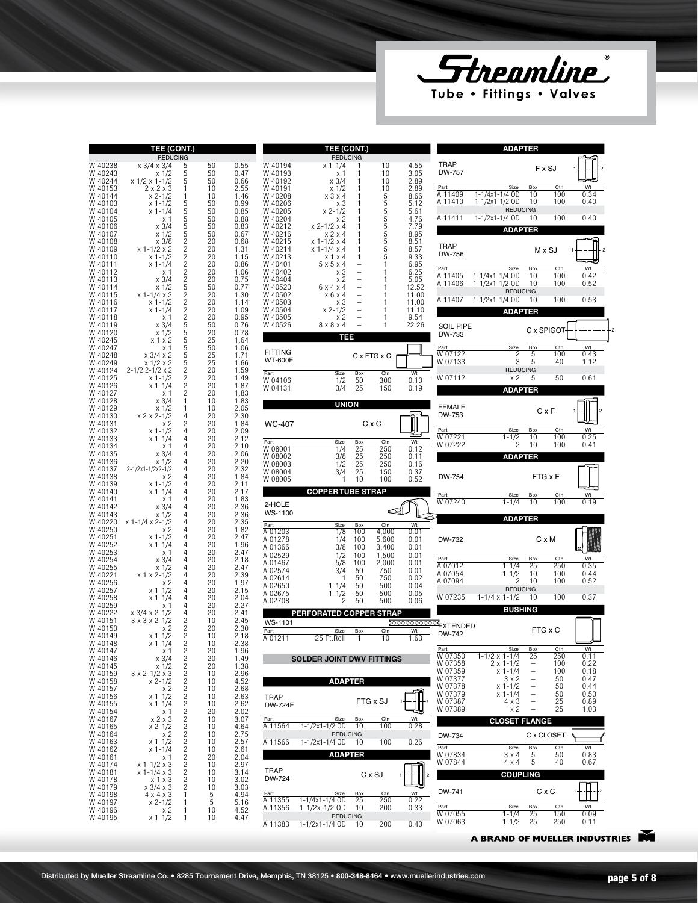

| <b>REDUCING</b><br><b>REDUCING</b><br><b>TRAP</b><br>$x 1 - 1/4$<br>W 40238<br>x 3/4 x 3/4<br>5<br>50<br>0.55<br>W 40194<br>4.55<br>1<br>10<br>F x SJ<br><b>DW-757</b><br>x 1/2<br>5<br>W 40243<br>50<br>0.47<br>W 40193<br>x <sub>1</sub><br>10<br>3.05<br>1<br>x 1/2 x 1-1/2<br>0.66<br>W 40192<br>x 3/4<br>2.89<br>W 40244<br>5<br>50<br>10<br>1<br>Part<br>Size<br>Box<br>Ctn<br>Wt<br>$2 \times 2 \times 3$<br>10<br>2.55<br>W 40191<br>x 1/2<br>10<br>2.89<br>W 40153<br>1<br>$1 - 1/4x1 - 1/4$ OD<br>A 11409<br>10<br>100<br>0.34<br>5<br>$x 2 - 1/2$<br>10<br>1.46<br>W 40208<br>x 3 x 4<br>8.66<br>W 40144<br>1<br>1<br>0.40<br>A 11410<br>1-1/2x1-1/2 OD<br>10<br>100<br>5<br>$x 1 - 1/2$<br>5<br>50<br>0.99<br>x <sub>3</sub><br>5.12<br>W 40103<br>W 40206<br>1<br><b>REDUCING</b><br>5<br>$x 2 - 1/2$<br>5<br>$x 1 - 1/4$<br>50<br>0.85<br>W 40205<br>5.61<br>W 40104<br>1<br>1-1/2x1-1/4 OD<br>0.40<br>5<br>$\frac{5}{5}$<br>A 11411<br>10<br>100<br>50<br>0.88<br>W 40204<br>4.76<br>W 40105<br>x 1<br>x 2<br>1<br>5<br>$x \frac{3}{4}$<br>50<br>0.83<br>W 40212<br>$x 2 - 1/2 x 4$<br>7.79<br>W 40106<br><b>ADAPTER</b><br>x 1/2<br>5<br>50<br>5<br>0.67<br>W 40216<br>x 2 x 4<br>8.95<br>W 40107<br>1<br>$\frac{2}{2}$<br>$\frac{5}{5}$<br>x 3/8<br>W 40108<br>20<br>0.68<br>W 40215<br>$x 1 - 1/2 x 4$<br>8.51<br>1<br><b>TRAP</b><br>$x 1 - 1/2 x 2$<br>20<br>1.31<br>W 40214<br>$x 1 - 1/4 x 4$<br>8.57<br>W 40109<br>1<br>M x SJ<br>DW-756<br>$\overline{c}$<br>5<br>9.33<br>$x 1 - 1/2$<br>20<br>1.15<br>W 40213<br>x 1 x 4<br>W 40110<br>1<br>$\frac{2}{2}$<br>$x 1 - 1/4$<br>20<br>0.86<br>W 40401<br>5x5x4<br>6.95<br>W 40111<br>Part<br>Size<br>Box<br>Ctn<br>Wt<br>20<br>6.25<br>x <sub>1</sub><br>1.06<br>W 40402<br>x <sub>3</sub><br>W 40112<br>$1 - \frac{1}{4 \times 1} - \frac{1}{4}$ OD<br>A 11405<br>100<br>10<br>0.42<br>$\overline{c}$<br>x 3/4<br>20<br>0.75<br>W 40404<br>x <sub>2</sub><br>5.05<br>W 40113<br>1-1/2x1-1/2 OD<br>0.52<br>A 11406<br>10<br>100<br>5<br>x 1/2<br>50<br>0.77<br>W 40520<br>12.52<br>W 40114<br>$6 \times 4 \times 4$<br><b>REDUCING</b><br>$\frac{2}{2}$<br>$x 1 - 1/4 x 2$<br>20<br>1.30<br>W 40502<br>x 6 x 4<br>11.00<br>W 40115<br>1-1/2x1-1/4 OD<br>0.53<br>10<br>100<br>A 11407<br>$x 1 - 1/2$<br>20<br>1.14<br>W 40503<br>x <sub>3</sub><br>11.00<br>W 40116<br>$\frac{2}{2}$<br>$x 1 - 1/4$<br>20<br>1.09<br>11.10<br>W 40117<br>W 40504<br>$x 2 - 1/2$<br><b>ADAPTER</b><br>20<br>0.95<br>W 40505<br>x <sub>2</sub><br>9.54<br>W 40118<br>x 1<br>5<br>x 3/4<br>50<br>0.76<br>W 40526<br>$8 \times 8 \times 4$<br>22.26<br>W 40119<br><b>SOIL PIPE</b><br>C x SPIGOT<br>x 1/2<br>W 40120<br>5<br>20<br>0.78<br>DW-733<br>TEE<br>5<br>25<br>x 1 x 2<br>1.64<br>W 40245<br>5<br>Part<br>Size<br>Ctn<br>Wt<br>50<br>1.06<br>Box<br>W 40247<br>x 1<br><b>FITTING</b><br>$\overline{2}$<br>$\overline{5}$<br>0.43<br>W 07122<br>100<br>x 3/4 x 2<br>x 1/2 x 2<br>5<br>25<br>W 40248<br>1.71<br>$C \times FTG \times C$<br><b>WT-600F</b><br>5<br>3<br>5<br>W 07133<br>40<br>1.12<br>25<br>W 40249<br>1.66<br><b>REDUCING</b><br>$\overline{c}$<br>20<br>2-1/2 2-1/2 x 2<br>1.59<br>W 40124<br>Part<br>Size<br>Ctn<br>Wt<br>Box<br>$\frac{2}{2}$<br>20<br>x <sub>2</sub><br>0.61<br>$x 1 - 1/2$<br>1.49<br>W 07112<br>50<br>W 40125<br>5<br>0.10<br>W 04106<br>1/2<br>50<br>300<br>$x 1 - 1/4$<br>20<br>1.87<br>W 40126<br>3/4<br>25<br>W 04131<br>0.19<br>150<br><b>ADAPTER</b><br>$\overline{c}$<br>20<br>W 40127<br>1.83<br>x 1<br>W 40128<br>$x \frac{3}{4}$<br>10<br>1.83<br>1<br><b>UNION</b><br><b>FEMALE</b><br>x 1/2<br>10<br>2.05<br>W 40129<br>1<br>CxF<br>سيجيا<br>DW-753<br>2.30<br>$x 2 x 2 - 1/2$<br>20<br>W 40130<br>4<br>$\overline{c}$<br>20<br>1.84<br><b>WC-407</b><br>$C \times C$<br>W 40131<br>x 2<br>Part<br>Size<br>Ctn<br>Wt<br>Box<br>$x 1 - 1/2$<br>20<br>2.09<br>W 40132<br>4<br>W 07221<br>$1 - 1/2$<br>10<br>100<br>0.25<br>$x 1 - 1/4$<br>4<br>20<br>2.12<br>W 40133<br>Part<br>Size<br>Ctn<br>Wt<br>Box<br>$\overline{c}$<br>10<br>0.41<br>W 07222<br>100<br>20<br>W 40134<br>2.10<br>x 1<br>4<br>W 08001<br>1/4<br>25<br>250<br>0.12<br>W 40135<br>$x \frac{3}{4}$<br>20<br>2.06<br>4 |
|-----------------------------------------------------------------------------------------------------------------------------------------------------------------------------------------------------------------------------------------------------------------------------------------------------------------------------------------------------------------------------------------------------------------------------------------------------------------------------------------------------------------------------------------------------------------------------------------------------------------------------------------------------------------------------------------------------------------------------------------------------------------------------------------------------------------------------------------------------------------------------------------------------------------------------------------------------------------------------------------------------------------------------------------------------------------------------------------------------------------------------------------------------------------------------------------------------------------------------------------------------------------------------------------------------------------------------------------------------------------------------------------------------------------------------------------------------------------------------------------------------------------------------------------------------------------------------------------------------------------------------------------------------------------------------------------------------------------------------------------------------------------------------------------------------------------------------------------------------------------------------------------------------------------------------------------------------------------------------------------------------------------------------------------------------------------------------------------------------------------------------------------------------------------------------------------------------------------------------------------------------------------------------------------------------------------------------------------------------------------------------------------------------------------------------------------------------------------------------------------------------------------------------------------------------------------------------------------------------------------------------------------------------------------------------------------------------------------------------------------------------------------------------------------------------------------------------------------------------------------------------------------------------------------------------------------------------------------------------------------------------------------------------------------------------------------------------------------------------------------------------------------------------------------------------------------------------------------------------------------------------------------------------------------------------------------------------------------------------------------------------------------------------------------------------------------------------------------------------------------------------------------------------------------------------------------------------------------------------------------------------------------------------------------------------------------------------------------------------------------------------------------------------------------------------------------------------------------------------------------------------------------------------------------------------------------------------------------------------------------------------------------------------------------------------------------------------------------------------------------------------------------------------------------------------------------------|
|                                                                                                                                                                                                                                                                                                                                                                                                                                                                                                                                                                                                                                                                                                                                                                                                                                                                                                                                                                                                                                                                                                                                                                                                                                                                                                                                                                                                                                                                                                                                                                                                                                                                                                                                                                                                                                                                                                                                                                                                                                                                                                                                                                                                                                                                                                                                                                                                                                                                                                                                                                                                                                                                                                                                                                                                                                                                                                                                                                                                                                                                                                                                                                                                                                                                                                                                                                                                                                                                                                                                                                                                                                                                                                                                                                                                                                                                                                                                                                                                                                                                                                                                                                                               |
|                                                                                                                                                                                                                                                                                                                                                                                                                                                                                                                                                                                                                                                                                                                                                                                                                                                                                                                                                                                                                                                                                                                                                                                                                                                                                                                                                                                                                                                                                                                                                                                                                                                                                                                                                                                                                                                                                                                                                                                                                                                                                                                                                                                                                                                                                                                                                                                                                                                                                                                                                                                                                                                                                                                                                                                                                                                                                                                                                                                                                                                                                                                                                                                                                                                                                                                                                                                                                                                                                                                                                                                                                                                                                                                                                                                                                                                                                                                                                                                                                                                                                                                                                                                               |
|                                                                                                                                                                                                                                                                                                                                                                                                                                                                                                                                                                                                                                                                                                                                                                                                                                                                                                                                                                                                                                                                                                                                                                                                                                                                                                                                                                                                                                                                                                                                                                                                                                                                                                                                                                                                                                                                                                                                                                                                                                                                                                                                                                                                                                                                                                                                                                                                                                                                                                                                                                                                                                                                                                                                                                                                                                                                                                                                                                                                                                                                                                                                                                                                                                                                                                                                                                                                                                                                                                                                                                                                                                                                                                                                                                                                                                                                                                                                                                                                                                                                                                                                                                                               |
|                                                                                                                                                                                                                                                                                                                                                                                                                                                                                                                                                                                                                                                                                                                                                                                                                                                                                                                                                                                                                                                                                                                                                                                                                                                                                                                                                                                                                                                                                                                                                                                                                                                                                                                                                                                                                                                                                                                                                                                                                                                                                                                                                                                                                                                                                                                                                                                                                                                                                                                                                                                                                                                                                                                                                                                                                                                                                                                                                                                                                                                                                                                                                                                                                                                                                                                                                                                                                                                                                                                                                                                                                                                                                                                                                                                                                                                                                                                                                                                                                                                                                                                                                                                               |
|                                                                                                                                                                                                                                                                                                                                                                                                                                                                                                                                                                                                                                                                                                                                                                                                                                                                                                                                                                                                                                                                                                                                                                                                                                                                                                                                                                                                                                                                                                                                                                                                                                                                                                                                                                                                                                                                                                                                                                                                                                                                                                                                                                                                                                                                                                                                                                                                                                                                                                                                                                                                                                                                                                                                                                                                                                                                                                                                                                                                                                                                                                                                                                                                                                                                                                                                                                                                                                                                                                                                                                                                                                                                                                                                                                                                                                                                                                                                                                                                                                                                                                                                                                                               |
|                                                                                                                                                                                                                                                                                                                                                                                                                                                                                                                                                                                                                                                                                                                                                                                                                                                                                                                                                                                                                                                                                                                                                                                                                                                                                                                                                                                                                                                                                                                                                                                                                                                                                                                                                                                                                                                                                                                                                                                                                                                                                                                                                                                                                                                                                                                                                                                                                                                                                                                                                                                                                                                                                                                                                                                                                                                                                                                                                                                                                                                                                                                                                                                                                                                                                                                                                                                                                                                                                                                                                                                                                                                                                                                                                                                                                                                                                                                                                                                                                                                                                                                                                                                               |
|                                                                                                                                                                                                                                                                                                                                                                                                                                                                                                                                                                                                                                                                                                                                                                                                                                                                                                                                                                                                                                                                                                                                                                                                                                                                                                                                                                                                                                                                                                                                                                                                                                                                                                                                                                                                                                                                                                                                                                                                                                                                                                                                                                                                                                                                                                                                                                                                                                                                                                                                                                                                                                                                                                                                                                                                                                                                                                                                                                                                                                                                                                                                                                                                                                                                                                                                                                                                                                                                                                                                                                                                                                                                                                                                                                                                                                                                                                                                                                                                                                                                                                                                                                                               |
|                                                                                                                                                                                                                                                                                                                                                                                                                                                                                                                                                                                                                                                                                                                                                                                                                                                                                                                                                                                                                                                                                                                                                                                                                                                                                                                                                                                                                                                                                                                                                                                                                                                                                                                                                                                                                                                                                                                                                                                                                                                                                                                                                                                                                                                                                                                                                                                                                                                                                                                                                                                                                                                                                                                                                                                                                                                                                                                                                                                                                                                                                                                                                                                                                                                                                                                                                                                                                                                                                                                                                                                                                                                                                                                                                                                                                                                                                                                                                                                                                                                                                                                                                                                               |
|                                                                                                                                                                                                                                                                                                                                                                                                                                                                                                                                                                                                                                                                                                                                                                                                                                                                                                                                                                                                                                                                                                                                                                                                                                                                                                                                                                                                                                                                                                                                                                                                                                                                                                                                                                                                                                                                                                                                                                                                                                                                                                                                                                                                                                                                                                                                                                                                                                                                                                                                                                                                                                                                                                                                                                                                                                                                                                                                                                                                                                                                                                                                                                                                                                                                                                                                                                                                                                                                                                                                                                                                                                                                                                                                                                                                                                                                                                                                                                                                                                                                                                                                                                                               |
|                                                                                                                                                                                                                                                                                                                                                                                                                                                                                                                                                                                                                                                                                                                                                                                                                                                                                                                                                                                                                                                                                                                                                                                                                                                                                                                                                                                                                                                                                                                                                                                                                                                                                                                                                                                                                                                                                                                                                                                                                                                                                                                                                                                                                                                                                                                                                                                                                                                                                                                                                                                                                                                                                                                                                                                                                                                                                                                                                                                                                                                                                                                                                                                                                                                                                                                                                                                                                                                                                                                                                                                                                                                                                                                                                                                                                                                                                                                                                                                                                                                                                                                                                                                               |
|                                                                                                                                                                                                                                                                                                                                                                                                                                                                                                                                                                                                                                                                                                                                                                                                                                                                                                                                                                                                                                                                                                                                                                                                                                                                                                                                                                                                                                                                                                                                                                                                                                                                                                                                                                                                                                                                                                                                                                                                                                                                                                                                                                                                                                                                                                                                                                                                                                                                                                                                                                                                                                                                                                                                                                                                                                                                                                                                                                                                                                                                                                                                                                                                                                                                                                                                                                                                                                                                                                                                                                                                                                                                                                                                                                                                                                                                                                                                                                                                                                                                                                                                                                                               |
|                                                                                                                                                                                                                                                                                                                                                                                                                                                                                                                                                                                                                                                                                                                                                                                                                                                                                                                                                                                                                                                                                                                                                                                                                                                                                                                                                                                                                                                                                                                                                                                                                                                                                                                                                                                                                                                                                                                                                                                                                                                                                                                                                                                                                                                                                                                                                                                                                                                                                                                                                                                                                                                                                                                                                                                                                                                                                                                                                                                                                                                                                                                                                                                                                                                                                                                                                                                                                                                                                                                                                                                                                                                                                                                                                                                                                                                                                                                                                                                                                                                                                                                                                                                               |
|                                                                                                                                                                                                                                                                                                                                                                                                                                                                                                                                                                                                                                                                                                                                                                                                                                                                                                                                                                                                                                                                                                                                                                                                                                                                                                                                                                                                                                                                                                                                                                                                                                                                                                                                                                                                                                                                                                                                                                                                                                                                                                                                                                                                                                                                                                                                                                                                                                                                                                                                                                                                                                                                                                                                                                                                                                                                                                                                                                                                                                                                                                                                                                                                                                                                                                                                                                                                                                                                                                                                                                                                                                                                                                                                                                                                                                                                                                                                                                                                                                                                                                                                                                                               |
|                                                                                                                                                                                                                                                                                                                                                                                                                                                                                                                                                                                                                                                                                                                                                                                                                                                                                                                                                                                                                                                                                                                                                                                                                                                                                                                                                                                                                                                                                                                                                                                                                                                                                                                                                                                                                                                                                                                                                                                                                                                                                                                                                                                                                                                                                                                                                                                                                                                                                                                                                                                                                                                                                                                                                                                                                                                                                                                                                                                                                                                                                                                                                                                                                                                                                                                                                                                                                                                                                                                                                                                                                                                                                                                                                                                                                                                                                                                                                                                                                                                                                                                                                                                               |
|                                                                                                                                                                                                                                                                                                                                                                                                                                                                                                                                                                                                                                                                                                                                                                                                                                                                                                                                                                                                                                                                                                                                                                                                                                                                                                                                                                                                                                                                                                                                                                                                                                                                                                                                                                                                                                                                                                                                                                                                                                                                                                                                                                                                                                                                                                                                                                                                                                                                                                                                                                                                                                                                                                                                                                                                                                                                                                                                                                                                                                                                                                                                                                                                                                                                                                                                                                                                                                                                                                                                                                                                                                                                                                                                                                                                                                                                                                                                                                                                                                                                                                                                                                                               |
|                                                                                                                                                                                                                                                                                                                                                                                                                                                                                                                                                                                                                                                                                                                                                                                                                                                                                                                                                                                                                                                                                                                                                                                                                                                                                                                                                                                                                                                                                                                                                                                                                                                                                                                                                                                                                                                                                                                                                                                                                                                                                                                                                                                                                                                                                                                                                                                                                                                                                                                                                                                                                                                                                                                                                                                                                                                                                                                                                                                                                                                                                                                                                                                                                                                                                                                                                                                                                                                                                                                                                                                                                                                                                                                                                                                                                                                                                                                                                                                                                                                                                                                                                                                               |
| W 08002<br>3/8<br>25<br>250<br><b>ADAPTER</b><br>0.11<br>20<br>2.20<br>W 40136<br>x 1/2<br>4<br>25<br>W 08003<br>1/2<br>250<br>0.16                                                                                                                                                                                                                                                                                                                                                                                                                                                                                                                                                                                                                                                                                                                                                                                                                                                                                                                                                                                                                                                                                                                                                                                                                                                                                                                                                                                                                                                                                                                                                                                                                                                                                                                                                                                                                                                                                                                                                                                                                                                                                                                                                                                                                                                                                                                                                                                                                                                                                                                                                                                                                                                                                                                                                                                                                                                                                                                                                                                                                                                                                                                                                                                                                                                                                                                                                                                                                                                                                                                                                                                                                                                                                                                                                                                                                                                                                                                                                                                                                                                           |
| 2-1/2x1-1/2x2-1/2<br>20<br>2.32<br>W 40137<br>4<br>25<br>W 08004<br>3/4<br>150<br>0.37<br>x 2<br>20<br>1.84<br>DW-754<br>W 40138<br>4<br>FTG x F<br>10<br>0.52<br>W 08005<br>100<br>$x 1 - 1/2$<br>20<br>2.11<br>W 40139<br>4                                                                                                                                                                                                                                                                                                                                                                                                                                                                                                                                                                                                                                                                                                                                                                                                                                                                                                                                                                                                                                                                                                                                                                                                                                                                                                                                                                                                                                                                                                                                                                                                                                                                                                                                                                                                                                                                                                                                                                                                                                                                                                                                                                                                                                                                                                                                                                                                                                                                                                                                                                                                                                                                                                                                                                                                                                                                                                                                                                                                                                                                                                                                                                                                                                                                                                                                                                                                                                                                                                                                                                                                                                                                                                                                                                                                                                                                                                                                                                 |
| <b>COPPER TUBE STRAP</b><br>$x 1 - 1/4$<br>4<br>20<br>W 40140<br>2.17<br>Part<br>Wt<br>Size<br>Box<br>Ctn<br>20<br>1.83<br>W 40141<br>x 1<br>4<br>W 07240<br>$1 - 1/4$<br>10<br>100<br>0.19                                                                                                                                                                                                                                                                                                                                                                                                                                                                                                                                                                                                                                                                                                                                                                                                                                                                                                                                                                                                                                                                                                                                                                                                                                                                                                                                                                                                                                                                                                                                                                                                                                                                                                                                                                                                                                                                                                                                                                                                                                                                                                                                                                                                                                                                                                                                                                                                                                                                                                                                                                                                                                                                                                                                                                                                                                                                                                                                                                                                                                                                                                                                                                                                                                                                                                                                                                                                                                                                                                                                                                                                                                                                                                                                                                                                                                                                                                                                                                                                   |
| 2-HOLE<br>W 40142<br>$x \frac{3}{4}$<br>20<br>2.36<br>4<br>WS-1100<br>x 1/2<br>2.36<br>W 40143<br>20<br>4<br><b>ADAPTER</b><br>2.35<br>20                                                                                                                                                                                                                                                                                                                                                                                                                                                                                                                                                                                                                                                                                                                                                                                                                                                                                                                                                                                                                                                                                                                                                                                                                                                                                                                                                                                                                                                                                                                                                                                                                                                                                                                                                                                                                                                                                                                                                                                                                                                                                                                                                                                                                                                                                                                                                                                                                                                                                                                                                                                                                                                                                                                                                                                                                                                                                                                                                                                                                                                                                                                                                                                                                                                                                                                                                                                                                                                                                                                                                                                                                                                                                                                                                                                                                                                                                                                                                                                                                                                     |
| W 40220<br>x 1-1/4 x 2-1/2<br>4<br>Part<br>Wt<br>Size<br>Box<br>Ctn                                                                                                                                                                                                                                                                                                                                                                                                                                                                                                                                                                                                                                                                                                                                                                                                                                                                                                                                                                                                                                                                                                                                                                                                                                                                                                                                                                                                                                                                                                                                                                                                                                                                                                                                                                                                                                                                                                                                                                                                                                                                                                                                                                                                                                                                                                                                                                                                                                                                                                                                                                                                                                                                                                                                                                                                                                                                                                                                                                                                                                                                                                                                                                                                                                                                                                                                                                                                                                                                                                                                                                                                                                                                                                                                                                                                                                                                                                                                                                                                                                                                                                                           |
| W 40250<br>x 2<br>4<br>20<br>1.82<br>1/8<br>A 01203<br>100<br>4,000<br>0.01<br>20<br>4                                                                                                                                                                                                                                                                                                                                                                                                                                                                                                                                                                                                                                                                                                                                                                                                                                                                                                                                                                                                                                                                                                                                                                                                                                                                                                                                                                                                                                                                                                                                                                                                                                                                                                                                                                                                                                                                                                                                                                                                                                                                                                                                                                                                                                                                                                                                                                                                                                                                                                                                                                                                                                                                                                                                                                                                                                                                                                                                                                                                                                                                                                                                                                                                                                                                                                                                                                                                                                                                                                                                                                                                                                                                                                                                                                                                                                                                                                                                                                                                                                                                                                        |
| W 40251<br>$x 1 - 1/2$<br>2.47<br>A 01278<br>1/4<br>100<br>5,600<br>DW-732<br>C x M<br>0.01<br>1.96<br>W 40252<br>$x 1 - 1/4$<br>20<br>4<br>A 01366<br>3/8<br>100<br>3,400<br>0.01<br>20<br>x <sub>1</sub><br>2.47<br>W 40253<br>4                                                                                                                                                                                                                                                                                                                                                                                                                                                                                                                                                                                                                                                                                                                                                                                                                                                                                                                                                                                                                                                                                                                                                                                                                                                                                                                                                                                                                                                                                                                                                                                                                                                                                                                                                                                                                                                                                                                                                                                                                                                                                                                                                                                                                                                                                                                                                                                                                                                                                                                                                                                                                                                                                                                                                                                                                                                                                                                                                                                                                                                                                                                                                                                                                                                                                                                                                                                                                                                                                                                                                                                                                                                                                                                                                                                                                                                                                                                                                            |
| A 02529<br>1/2<br>100<br>1,500<br>0.01<br>Size<br>Part<br>Ctn<br>Wt<br>Box<br>$x \frac{3}{4}$<br>20<br>2.18<br>W 40254<br>4<br>100<br>A 01467<br>5/8<br>2,000<br>0.01<br>A07012<br>$1 - 1/4$<br>25<br>250<br>0.35<br>x 1/2<br>20<br>2.47<br>W 40255<br>4<br>50<br>A 02574<br>3/4<br>750<br>0.01                                                                                                                                                                                                                                                                                                                                                                                                                                                                                                                                                                                                                                                                                                                                                                                                                                                                                                                                                                                                                                                                                                                                                                                                                                                                                                                                                                                                                                                                                                                                                                                                                                                                                                                                                                                                                                                                                                                                                                                                                                                                                                                                                                                                                                                                                                                                                                                                                                                                                                                                                                                                                                                                                                                                                                                                                                                                                                                                                                                                                                                                                                                                                                                                                                                                                                                                                                                                                                                                                                                                                                                                                                                                                                                                                                                                                                                                                               |
| A 07054<br>$1 - 1/2$<br>10<br>100<br>0.44<br>W 40221<br>$x 1 x 2 - 1/2$<br>20<br>2.39<br>4<br>50<br>A 02614<br>750<br>0.02<br>$\overline{c}$<br>10<br>0.52<br>A 07094<br>100<br>x <sub>2</sub><br>20<br>1.97<br>W 40256<br>4<br>A 02650<br>50<br>500<br>0.04<br>$1 - 1/4$<br><b>REDUCING</b>                                                                                                                                                                                                                                                                                                                                                                                                                                                                                                                                                                                                                                                                                                                                                                                                                                                                                                                                                                                                                                                                                                                                                                                                                                                                                                                                                                                                                                                                                                                                                                                                                                                                                                                                                                                                                                                                                                                                                                                                                                                                                                                                                                                                                                                                                                                                                                                                                                                                                                                                                                                                                                                                                                                                                                                                                                                                                                                                                                                                                                                                                                                                                                                                                                                                                                                                                                                                                                                                                                                                                                                                                                                                                                                                                                                                                                                                                                  |
| $x 1 - 1/2$<br>20<br>2.15<br>W 40257<br>4<br>50<br>A 02675<br>$1 - 1/2$<br>500<br>0.05<br>$1 - 1/4 \times 1 - 1/2$<br>0.37<br>W 07235<br>100<br>$x 1 - 1/4$<br>-10<br>W 40258<br>4<br>20<br>2.04<br>A 02708<br>2<br>50<br>500<br>0.06<br>2.27<br>4<br>20<br>W 40259<br>x 1                                                                                                                                                                                                                                                                                                                                                                                                                                                                                                                                                                                                                                                                                                                                                                                                                                                                                                                                                                                                                                                                                                                                                                                                                                                                                                                                                                                                                                                                                                                                                                                                                                                                                                                                                                                                                                                                                                                                                                                                                                                                                                                                                                                                                                                                                                                                                                                                                                                                                                                                                                                                                                                                                                                                                                                                                                                                                                                                                                                                                                                                                                                                                                                                                                                                                                                                                                                                                                                                                                                                                                                                                                                                                                                                                                                                                                                                                                                    |
| <b>BUSHING</b><br>PERFORATED COPPER STRAP<br>W 40222<br>x 3/4 x 2-1/2<br>20<br>2.41<br>4<br>$3 \times 3 \times 2 - 1/2$<br>$\overline{c}$<br>10<br>2.45<br>W 40151<br>WS-1101                                                                                                                                                                                                                                                                                                                                                                                                                                                                                                                                                                                                                                                                                                                                                                                                                                                                                                                                                                                                                                                                                                                                                                                                                                                                                                                                                                                                                                                                                                                                                                                                                                                                                                                                                                                                                                                                                                                                                                                                                                                                                                                                                                                                                                                                                                                                                                                                                                                                                                                                                                                                                                                                                                                                                                                                                                                                                                                                                                                                                                                                                                                                                                                                                                                                                                                                                                                                                                                                                                                                                                                                                                                                                                                                                                                                                                                                                                                                                                                                                 |
| <b>SOOOOOOOOOOOC</b> EXTENDED<br>$\frac{2}{2}$<br>20<br>2.30<br>W 40150<br>x 2<br>FTG x C<br>Part<br>Ctn<br>Wt<br>Size<br>Box<br>DW-742<br>$x 1 - 1/2$<br>10<br>W 40149<br>2.18<br>25 Ft.Roll<br>10<br>1.63<br>A 01211<br>1<br>10<br>2.38<br>W 40148<br>$x 1 - 1/4$                                                                                                                                                                                                                                                                                                                                                                                                                                                                                                                                                                                                                                                                                                                                                                                                                                                                                                                                                                                                                                                                                                                                                                                                                                                                                                                                                                                                                                                                                                                                                                                                                                                                                                                                                                                                                                                                                                                                                                                                                                                                                                                                                                                                                                                                                                                                                                                                                                                                                                                                                                                                                                                                                                                                                                                                                                                                                                                                                                                                                                                                                                                                                                                                                                                                                                                                                                                                                                                                                                                                                                                                                                                                                                                                                                                                                                                                                                                           |
| Part<br>Wt<br>Size<br>Box<br>Ctn<br>2<br>W 40147<br>20<br>1.96<br>x 1<br>W 07350<br>1-1/2 x 1-1/4<br>25<br>250<br>0.11<br>W 40146<br>$x \frac{3}{4}$<br>20<br>1.49<br>SOLDER JOINT DWV FITTINGS                                                                                                                                                                                                                                                                                                                                                                                                                                                                                                                                                                                                                                                                                                                                                                                                                                                                                                                                                                                                                                                                                                                                                                                                                                                                                                                                                                                                                                                                                                                                                                                                                                                                                                                                                                                                                                                                                                                                                                                                                                                                                                                                                                                                                                                                                                                                                                                                                                                                                                                                                                                                                                                                                                                                                                                                                                                                                                                                                                                                                                                                                                                                                                                                                                                                                                                                                                                                                                                                                                                                                                                                                                                                                                                                                                                                                                                                                                                                                                                               |
| $\frac{2}{2}$<br>W 07358<br>100<br>0.22<br>$2 \times 1 - 1/2$<br>$\overline{\phantom{a}}$<br>W 40145<br>20<br>1.38<br>$x \frac{1}{2}$<br>W 07359<br>$x 1 - 1/4$<br>0.18<br>$\qquad \qquad -$<br>100<br>$\overline{c}$<br>2.96<br>W 40159<br>$3 \times 2 - 1/2 \times 3$<br>10<br>W 07377<br>$3 \times 2$<br>0.47<br>50<br>$\overline{\phantom{0}}$                                                                                                                                                                                                                                                                                                                                                                                                                                                                                                                                                                                                                                                                                                                                                                                                                                                                                                                                                                                                                                                                                                                                                                                                                                                                                                                                                                                                                                                                                                                                                                                                                                                                                                                                                                                                                                                                                                                                                                                                                                                                                                                                                                                                                                                                                                                                                                                                                                                                                                                                                                                                                                                                                                                                                                                                                                                                                                                                                                                                                                                                                                                                                                                                                                                                                                                                                                                                                                                                                                                                                                                                                                                                                                                                                                                                                                            |
| W 40158<br>$x 2 - 1/2$<br>2<br>10<br>4.52<br><b>ADAPTER</b><br>W 07378<br>$x 1 - 1/2$<br>50<br>0.44<br>$\qquad \qquad -$<br>$\frac{2}{2}$<br>2.68<br>x 2<br>10<br>W 40157<br>W 07379<br>0.50<br>$x 1 - 1/4$<br>50<br>$\qquad \qquad -$<br>2.63<br>$x 1 - 1/2$<br>W 40156<br>10<br><b>TRAP</b>                                                                                                                                                                                                                                                                                                                                                                                                                                                                                                                                                                                                                                                                                                                                                                                                                                                                                                                                                                                                                                                                                                                                                                                                                                                                                                                                                                                                                                                                                                                                                                                                                                                                                                                                                                                                                                                                                                                                                                                                                                                                                                                                                                                                                                                                                                                                                                                                                                                                                                                                                                                                                                                                                                                                                                                                                                                                                                                                                                                                                                                                                                                                                                                                                                                                                                                                                                                                                                                                                                                                                                                                                                                                                                                                                                                                                                                                                                 |
| FTG x SJ<br>W 07387<br>0.89<br>4 x 3<br>25<br>$-2$<br>$\overline{c}$<br>$x 1 - 1/4$<br>10<br>2.62<br>W 40155<br><b>DW-724F</b><br>W 07389<br>1.03<br>x <sub>2</sub><br>25<br>20<br>2.02<br>W 40154<br>x 1                                                                                                                                                                                                                                                                                                                                                                                                                                                                                                                                                                                                                                                                                                                                                                                                                                                                                                                                                                                                                                                                                                                                                                                                                                                                                                                                                                                                                                                                                                                                                                                                                                                                                                                                                                                                                                                                                                                                                                                                                                                                                                                                                                                                                                                                                                                                                                                                                                                                                                                                                                                                                                                                                                                                                                                                                                                                                                                                                                                                                                                                                                                                                                                                                                                                                                                                                                                                                                                                                                                                                                                                                                                                                                                                                                                                                                                                                                                                                                                     |
| $\frac{2}{2}$<br>W 40167<br>x 2 x 3<br>10<br>3.07<br>Part<br>Size<br>Box<br>Ctn<br>Wt<br><b>CLOSET FLANGE</b><br>$\overline{c}$<br>100<br>0.28<br>A 11564<br>1-1/2x1-1/2 OD<br>10<br>$x 2 - 1/2$<br>10<br>4.64<br>W 40165<br>$\overline{c}$<br>W 40164<br>10<br>2.75<br><b>REDUCING</b><br>x 2<br>DW-734<br>C x CLOSET                                                                                                                                                                                                                                                                                                                                                                                                                                                                                                                                                                                                                                                                                                                                                                                                                                                                                                                                                                                                                                                                                                                                                                                                                                                                                                                                                                                                                                                                                                                                                                                                                                                                                                                                                                                                                                                                                                                                                                                                                                                                                                                                                                                                                                                                                                                                                                                                                                                                                                                                                                                                                                                                                                                                                                                                                                                                                                                                                                                                                                                                                                                                                                                                                                                                                                                                                                                                                                                                                                                                                                                                                                                                                                                                                                                                                                                                        |
| $\frac{2}{2}$<br>W 40163<br>$x 1 - 1/2$<br>10<br>2.57<br>A 11566<br>1-1/2x1-1/4 OD<br>10<br>100<br>0.26<br>Part<br>Wt<br>Size<br>Box<br>Ctn<br>2.61<br>W 40162<br>$x 1 - 1/4$<br>10                                                                                                                                                                                                                                                                                                                                                                                                                                                                                                                                                                                                                                                                                                                                                                                                                                                                                                                                                                                                                                                                                                                                                                                                                                                                                                                                                                                                                                                                                                                                                                                                                                                                                                                                                                                                                                                                                                                                                                                                                                                                                                                                                                                                                                                                                                                                                                                                                                                                                                                                                                                                                                                                                                                                                                                                                                                                                                                                                                                                                                                                                                                                                                                                                                                                                                                                                                                                                                                                                                                                                                                                                                                                                                                                                                                                                                                                                                                                                                                                           |
| <b>ADAPTER</b><br>W 07834<br>$3 \times 4$<br>5<br>50<br>0.83<br>2<br>20<br>2.04<br>W 40161<br>x 1<br>W 07844<br>5<br>40<br>0.67<br>4 x 4<br>2.97<br>$x 1 - 1/2 x 3$<br>10<br>W 40174<br><b>TRAP</b><br>$x 1 - 1/4 x 3$<br>10                                                                                                                                                                                                                                                                                                                                                                                                                                                                                                                                                                                                                                                                                                                                                                                                                                                                                                                                                                                                                                                                                                                                                                                                                                                                                                                                                                                                                                                                                                                                                                                                                                                                                                                                                                                                                                                                                                                                                                                                                                                                                                                                                                                                                                                                                                                                                                                                                                                                                                                                                                                                                                                                                                                                                                                                                                                                                                                                                                                                                                                                                                                                                                                                                                                                                                                                                                                                                                                                                                                                                                                                                                                                                                                                                                                                                                                                                                                                                                  |
| $\frac{2}{2}$<br>3.14<br>W 40181<br><b>COUPLING</b><br>C x SJ<br>DW-724<br>$\overline{c}$<br>10<br>3.02<br>W 40178<br>x 1 x 3<br>$\overline{\mathbf{c}}$<br>W 40179<br>x 3/4 x 3<br>10<br>3.03                                                                                                                                                                                                                                                                                                                                                                                                                                                                                                                                                                                                                                                                                                                                                                                                                                                                                                                                                                                                                                                                                                                                                                                                                                                                                                                                                                                                                                                                                                                                                                                                                                                                                                                                                                                                                                                                                                                                                                                                                                                                                                                                                                                                                                                                                                                                                                                                                                                                                                                                                                                                                                                                                                                                                                                                                                                                                                                                                                                                                                                                                                                                                                                                                                                                                                                                                                                                                                                                                                                                                                                                                                                                                                                                                                                                                                                                                                                                                                                                |
| C x C<br>DW-741<br>Wt<br>Part<br>Size<br>Box<br>Ctn<br>4.94<br>W 40198<br>$4 \times 4 \times 3$<br>1<br>5<br>1-1/4x1-1/4 OD<br>25<br>0.22<br>A 11355<br>250<br>5<br>5.16<br>W 40197<br>$x 2 - 1/2$<br>1<br>Wt<br>Size<br>Box<br>Ctn<br>A 11356<br>1-1/2x-1/2 OD<br>200<br>0.33<br>Part<br>10<br>W 40196<br>10<br>4.52<br>x 2<br>1<br>25<br>150<br>0.09<br>W 07055<br>$1 - 1/4$                                                                                                                                                                                                                                                                                                                                                                                                                                                                                                                                                                                                                                                                                                                                                                                                                                                                                                                                                                                                                                                                                                                                                                                                                                                                                                                                                                                                                                                                                                                                                                                                                                                                                                                                                                                                                                                                                                                                                                                                                                                                                                                                                                                                                                                                                                                                                                                                                                                                                                                                                                                                                                                                                                                                                                                                                                                                                                                                                                                                                                                                                                                                                                                                                                                                                                                                                                                                                                                                                                                                                                                                                                                                                                                                                                                                                |

A BRAND OF MUELLER INDUSTRIES **N**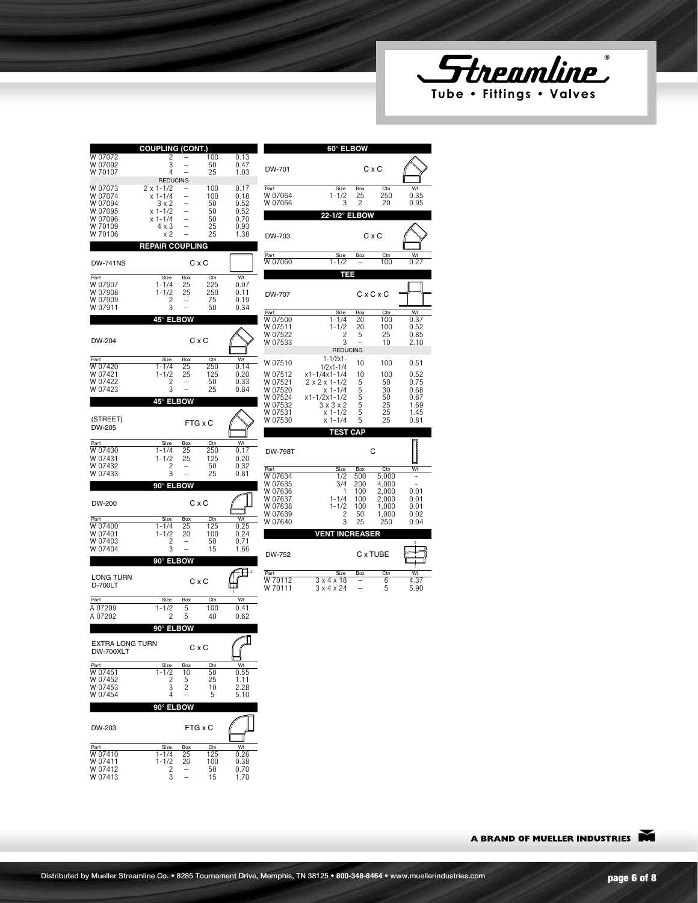Ftreamline

|                                          | <b>COUPLING (CONT.)</b>                                                               |                        |                              |                                          | 60° ELBOW                                   |                |                  |                    |
|------------------------------------------|---------------------------------------------------------------------------------------|------------------------|------------------------------|------------------------------------------|---------------------------------------------|----------------|------------------|--------------------|
| W 07072<br>W 07092<br>W 70107            | 2<br>3<br>4<br><b>REDUCING</b>                                                        | 100<br>50<br>25        | 0.13<br>0.47<br>1.03         | DW-701                                   |                                             | $C \times C$   |                  |                    |
| W 07073<br>W 07074<br>W 07094<br>W 07095 | $2 \times 1 - 1/2$<br>$x 1 - 1/4$<br>3 x 2<br>$x 1 - 1/2$<br>$\overline{\phantom{0}}$ | 100<br>100<br>50<br>50 | 0.17<br>0.18<br>0.52<br>0.52 | Part<br>W 07064<br>W 07066               | Size<br>$1 - 1/2$<br>3                      | Box<br>25<br>2 | Ctn<br>250<br>20 | Wt<br>0.35<br>0.95 |
| W 07096<br>W 70109                       | x 1-1/4<br>$\overline{\phantom{0}}$<br>4 x 3<br>-                                     | 50<br>25               | 0.70<br>0.93                 |                                          | 22-1/2° ELBOW                               |                |                  |                    |
| W 70106                                  | x 2<br><b>REPAIR COUPLING</b>                                                         | 25                     | 1.38                         | DW-703                                   |                                             | C x C          |                  |                    |
| <b>DW-741NS</b>                          |                                                                                       | C x C                  |                              | Part<br>W 07060                          | Size<br>$1 - 1/2$                           | Box            | Ctn<br>100       | Wt<br>0.27         |
| Part<br>W 07907                          | Size<br>Box<br>$1 - 1/4$<br>25                                                        | Ctn<br>225             | Wt<br>0.07                   |                                          | TEE                                         |                |                  |                    |
| W 07908<br>W 07909<br>W 07911            | $1 - 1/2$<br>25<br>$\overline{c}$<br>3<br>-                                           | 250<br>75<br>50        | 0.11<br>0.19<br>0.34         | DW-707<br>Part                           | Size                                        | CxCxC<br>Box   | Ctn              | Wt                 |
|                                          | 45° ELBOW                                                                             |                        |                              | $\overline{\mathsf{W}}$ 07500<br>W 07511 | $1 - 1/4$<br>$1 - 1/2$                      | 20<br>20       | 100<br>100       | 0.37<br>0.52       |
| DW-204                                   |                                                                                       | C x C                  |                              | W 07522<br>W 07533                       | 2<br>3<br><b>REDUCING</b>                   | 5<br>L.        | 25<br>10         | 0.85<br>2.10       |
| Part<br>$\overline{\mathsf{W}}$ 07420    | Size<br>Box<br>$1 - 1/4$<br>25                                                        | Ctn<br>250             | Wt<br>0.14                   | W 07510                                  | 1-1/2x1-<br>$1/2x1 - 1/4$                   | 10             | 100              | 0.51               |
| W 07421<br>W 07422                       | $1 - 1/2$<br>25<br>2                                                                  | 125<br>50              | 0.20<br>0.33                 | W 07512<br>W 07521                       | x1-1/4x1-1/4<br>$2 \times 2 \times 1 - 1/2$ | 10<br>5        | 100<br>50        | 0.52<br>0.75       |
| W 07423                                  | 3                                                                                     | 25                     | 0.84                         | W 07520<br>W 07524                       | $x 1 - 1/4$<br>x1-1/2x1-1/2                 | 5<br>5         | 30<br>50         | 0.68<br>0.87       |
|                                          | 45° ELBOW                                                                             |                        |                              | W 07532<br>W 07531                       | $3 \times 3 \times 2$<br>$x 1 - 1/2$        | 5<br>5         | 25<br>25         | 1.69<br>1.45       |
| (STREET)<br>DW-205                       |                                                                                       | FTG x C                |                              | W 07530                                  | $x 1 - 1/4$                                 | 5              | 25               | 0.81               |
| Part                                     | Size<br>Box                                                                           | Ctn                    | Wt                           |                                          | <b>TEST CAP</b>                             |                |                  |                    |
| W 07430<br>W 07431                       | $1 - 1/4$<br>25<br>$1 - 1/2$<br>25                                                    | 250<br>125             | 0.17<br>0.20                 | <b>DW-798T</b>                           |                                             | С              |                  |                    |
| W 07432<br>W 07433                       | $\frac{2}{3}$                                                                         | 50<br>25               | 0.32<br>0.81                 | Part<br>W 07634                          | Size<br>1/2                                 | Box<br>500     | Ctn<br>5,000     | Wt<br>٠            |
|                                          | 90° ELBOW                                                                             |                        |                              | W 07635<br>W 07636                       | 3/4<br>1                                    | 200<br>100     | 4,000<br>2,000   | 0.01               |
| DW-200                                   |                                                                                       | C x C                  |                              | W 07637<br>W 07638                       | $1 - 1/4$<br>$1 - 1/2$                      | 100<br>100     | 2,000<br>1,000   | 0.01<br>0.01       |
| Part                                     | Size<br>Box                                                                           | Ctn                    | Wt                           | W 07639<br>W 07640                       | $\overline{c}$<br>3                         | 50<br>25       | 1,000<br>250     | 0.02<br>0.04       |
| W 07400<br>W 07401                       | 1-1/4<br>25<br>1-1/2<br>20                                                            | 125<br>100             | 0.25<br>0.24                 |                                          | <b>VENT INCREASER</b>                       |                |                  |                    |
| W 07403<br>W 07404                       | $\frac{2}{3}$                                                                         | 50<br>15               | 0.71<br>1.66                 | DW-752                                   |                                             | C x TUBE       |                  | $\overline{2}$     |
|                                          | 90° ELBOW                                                                             |                        |                              |                                          |                                             |                |                  |                    |
| LONG TURN<br>D-700LT                     |                                                                                       | C x C                  | 7⊧ 2                         | Part<br>W 70112                          | Size<br>3 x 4 x 18                          | Box            | Ctn<br>6         | Wt<br>4.37         |
| Part                                     | <b>Size</b><br>Box                                                                    | Ctn                    | Wt                           | W 70111                                  | 3 x 4 x 24                                  |                | 5                | 5.90               |
| A 07209<br>A 07202                       | 1-1/2<br>5<br>5<br>2                                                                  | 100<br>40              | 0.41<br>0.62                 |                                          |                                             |                |                  |                    |
|                                          | 90° ELBOW                                                                             |                        |                              |                                          |                                             |                |                  |                    |
| <b>EXTRA LONG TURN</b><br>DW-700XLT      |                                                                                       | C x C                  | נכ                           |                                          |                                             |                |                  |                    |
| Part<br>W 07451                          | Size<br><b>Box</b><br>1-1/2<br>10                                                     | Ctn<br>50              | Wt<br>0.55                   |                                          |                                             |                |                  |                    |
| W 07452<br>W 07453                       | 2<br>5<br>3<br>2                                                                      | 25<br>10               | 1.11<br>2.28                 |                                          |                                             |                |                  |                    |
| W 07454                                  | 4                                                                                     | 5                      | 5.10                         |                                          |                                             |                |                  |                    |
| DW-203                                   | 90° ELBOW                                                                             | FTG x C                |                              |                                          |                                             |                |                  |                    |
|                                          |                                                                                       |                        |                              |                                          |                                             |                |                  |                    |
| Part<br>W 07410                          | Size<br>Box<br>$1 - 1/4$<br>25                                                        | Ctn<br>125             | Wt<br>0.26                   |                                          |                                             |                |                  |                    |
| W 07411<br>W 07412                       | $1 - 1/2$<br>20<br>2<br>-                                                             | 100<br>50              | 0.38<br>0.70                 |                                          |                                             |                |                  |                    |
| W 07413                                  | 3<br>$\overline{\phantom{0}}$                                                         | 15                     | 1.70                         |                                          |                                             |                |                  |                    |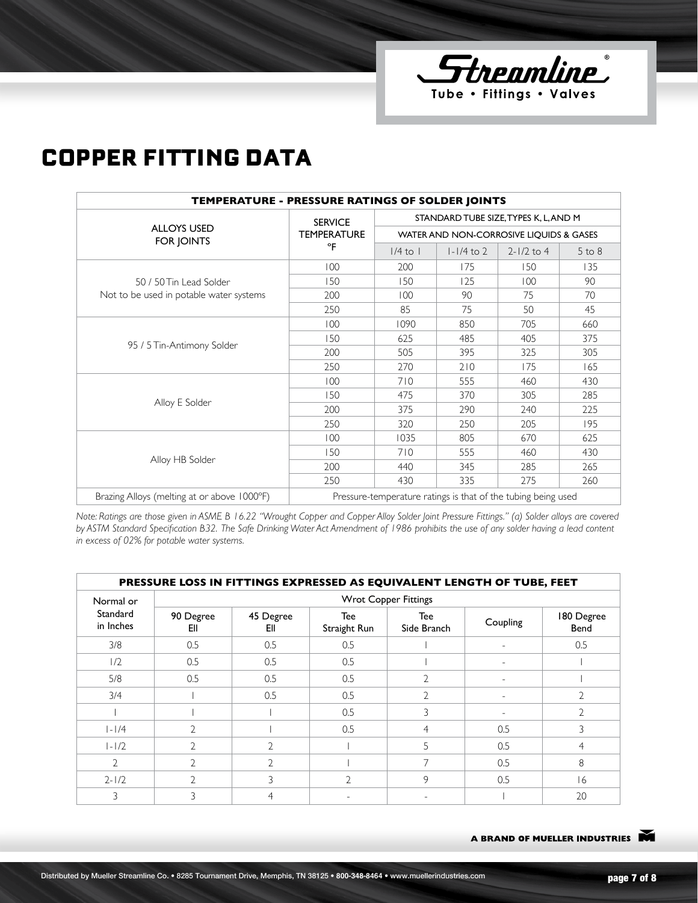

## COPPER FITTING DATA

| <b>TEMPERATURE - PRESSURE RATINGS OF SOLDER JOINTS</b> |                                                               |                                         |                |                |            |  |  |  |  |
|--------------------------------------------------------|---------------------------------------------------------------|-----------------------------------------|----------------|----------------|------------|--|--|--|--|
|                                                        | <b>SERVICE</b>                                                | STANDARD TUBE SIZE, TYPES K, L, AND M   |                |                |            |  |  |  |  |
| <b>ALLOYS USED</b><br>FOR JOINTS                       | <b>TEMPERATURE</b>                                            | WATER AND NON-CORROSIVE LIQUIDS & GASES |                |                |            |  |  |  |  |
|                                                        | °F                                                            | $1/4$ to $1$                            | $1 - 1/4$ to 2 | $2 - 1/2$ to 4 | $5$ to $8$ |  |  |  |  |
|                                                        | 100                                                           | 200                                     | 175            | 150            | 135        |  |  |  |  |
| 50 / 50 Tin Lead Solder                                | 150                                                           | 150                                     | 125            | 100            | 90         |  |  |  |  |
| Not to be used in potable water systems                | 200                                                           | 100                                     | 90             | 75             | 70         |  |  |  |  |
|                                                        | 250                                                           | 85                                      | 75             | 50             | 45         |  |  |  |  |
|                                                        | 100                                                           | 1090                                    | 850            | 705            | 660        |  |  |  |  |
|                                                        | 150                                                           | 625                                     | 485            | 405            | 375        |  |  |  |  |
| 95 / 5 Tin-Antimony Solder                             | 200                                                           | 505                                     | 395            | 325            | 305        |  |  |  |  |
|                                                        | 250                                                           | 270                                     | 210            | 175            | 165        |  |  |  |  |
|                                                        | 100                                                           | 710                                     | 555            | 460            | 430        |  |  |  |  |
|                                                        | 150                                                           | 475                                     | 370            | 305            | 285        |  |  |  |  |
| Alloy E Solder                                         | 200                                                           | 375                                     | 290            | 240            | 225        |  |  |  |  |
|                                                        | 250                                                           | 320                                     | 250            | 205            | 195        |  |  |  |  |
|                                                        | 100                                                           | 1035                                    | 805            | 670            | 625        |  |  |  |  |
|                                                        | 150                                                           | 710                                     | 555            | 460            | 430        |  |  |  |  |
| Alloy HB Solder                                        | 200                                                           | 440                                     | 345            | 285            | 265        |  |  |  |  |
|                                                        | 250                                                           | 430                                     | 335            | 275            | 260        |  |  |  |  |
| Brazing Alloys (melting at or above 1000°F)            | Pressure-temperature ratings is that of the tubing being used |                                         |                |                |            |  |  |  |  |

*Note: Ratings are those given in ASME B 16.22 "Wrought Copper and Copper Alloy Solder Joint Pressure Fittings." (a) Solder alloys are covered by ASTM Standard Specification B32. The Safe Drinking Water Act Amendment of 1986 prohibits the use of any solder having a lead content in excess of 02% for potable water systems.*

|                       | PRESSURE LOSS IN FITTINGS EXPRESSED AS EQUIVALENT LENGTH OF TUBE, FEET |                  |                     |                    |                          |                    |  |  |  |  |  |  |  |
|-----------------------|------------------------------------------------------------------------|------------------|---------------------|--------------------|--------------------------|--------------------|--|--|--|--|--|--|--|
| Normal or             | <b>Wrot Copper Fittings</b>                                            |                  |                     |                    |                          |                    |  |  |  |  |  |  |  |
| Standard<br>in Inches | 90 Degree<br>EII                                                       | 45 Degree<br>EII | Tee<br>Straight Run | Tee<br>Side Branch | Coupling                 | 180 Degree<br>Bend |  |  |  |  |  |  |  |
| 3/8                   | 0.5                                                                    | 0.5              | 0.5                 |                    |                          | 0.5                |  |  |  |  |  |  |  |
| 1/2                   | 0.5                                                                    | 0.5              | 0.5                 |                    | $\overline{\phantom{a}}$ |                    |  |  |  |  |  |  |  |
| 5/8                   | 0.5                                                                    | 0.5              | 0.5                 | 2                  |                          |                    |  |  |  |  |  |  |  |
| 3/4                   |                                                                        | 0.5              | 0.5                 | V                  |                          | $\overline{2}$     |  |  |  |  |  |  |  |
|                       |                                                                        |                  | 0.5                 | 3                  |                          | $\overline{2}$     |  |  |  |  |  |  |  |
| $  -  /4$             | $\overline{2}$                                                         |                  | 0.5                 | 4                  | 0.5                      | 3                  |  |  |  |  |  |  |  |
| $1 - 1/2$             |                                                                        | $\overline{2}$   |                     | 5                  | 0.5                      | 4                  |  |  |  |  |  |  |  |
| $\overline{2}$        |                                                                        | $\overline{2}$   |                     |                    | 0.5                      | 8                  |  |  |  |  |  |  |  |
| $2 - 1/2$             | V                                                                      | $\mathcal{S}$    | $\mathcal{D}$       | 9                  | 0.5                      | 16                 |  |  |  |  |  |  |  |
| 3                     | 3                                                                      | 4                |                     |                    |                          | 20                 |  |  |  |  |  |  |  |

A BRAND OF MUELLER INDUSTRIES